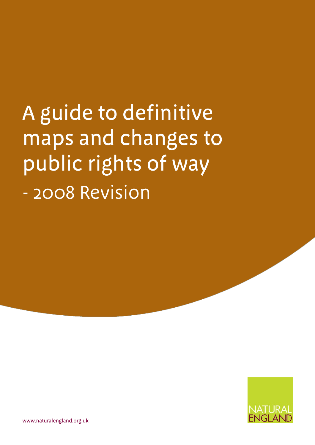# A guide to definitive maps and changes to public rights of way - 2008 Revision

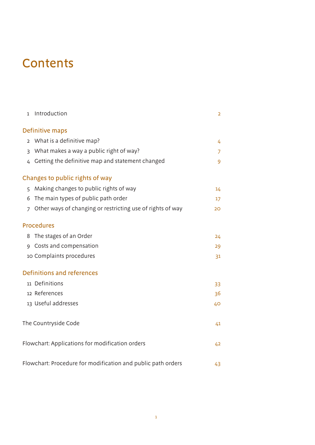### **Contents**

| $\mathbf{1}$   | Introduction                                                 | $\overline{2}$ |
|----------------|--------------------------------------------------------------|----------------|
|                | Definitive maps                                              |                |
| $\overline{2}$ | What is a definitive map?                                    | 4              |
| $\overline{3}$ | What makes a way a public right of way?                      | $\overline{z}$ |
| $\overline{4}$ | Getting the definitive map and statement changed             | 9              |
|                | Changes to public rights of way                              |                |
| 5              | Making changes to public rights of way                       | 14             |
| 6              | The main types of public path order                          | 17             |
| $\overline{z}$ | Other ways of changing or restricting use of rights of way   | 20             |
|                | <b>Procedures</b>                                            |                |
| 8              | The stages of an Order                                       | 24             |
| 9              | Costs and compensation                                       | 29             |
|                | 10 Complaints procedures                                     | 31             |
|                | Definitions and references                                   |                |
|                | 11 Definitions                                               | 33             |
|                | 12 References                                                | 36             |
|                | 13 Useful addresses                                          | 40             |
|                | The Countryside Code                                         | 41             |
|                | Flowchart: Applications for modification orders              | 42             |
|                | Flowchart: Procedure for modification and public path orders | 43             |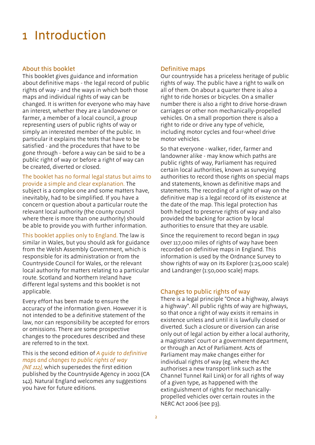### 1 Introduction

#### About this booklet

This booklet gives guidance and information about definitive maps - the legal record of public rights of way - and the ways in which both those maps and individual rights of way can be changed. It is written for everyone who may have an interest, whether they are a landowner or farmer, a member of a local council, a group representing users of public rights of way or simply an interested member of the public. In particular it explains the tests that have to be satisfied - and the procedures that have to be gone through - before a way can be said to be a public right of way or before a right of way can be created, diverted or closed.

The booklet has no formal legal status but aims to provide a simple and clear explanation. The

subject is a complex one and some matters have, inevitably, had to be simplified. If you have a concern or question about a particular route the relevant local authority (the county council where there is more than one authority) should be able to provide you with further information.

This booklet applies only to England. The law is similar in Wales, but you should ask for guidance from the Welsh Assembly Government, which is responsible for its administration or from the Countryside Council for Wales, or the relevant local authority for matters relating to a particular route. Scotland and Northern Ireland have different legal systems and this booklet is not applicable.

Every effort has been made to ensure the accuracy of the information given. However it is not intended to be a definitive statement of the law, nor can responsibility be accepted for errors or omissions. There are some prospective changes to the procedures described and these are referred to in the text.

This is the second edition of *A guide to definitive maps and changes to public rights of way (NE 112),* which supersedes the first edition published by the Countryside Agency in 2002 (CA 142). Natural England welcomes any suggestions you have for future editions.

#### Definitive maps

Our countryside has a priceless heritage of public rights of way. The public have a right to walk on all of them. On about a quarter there is also a right to ride horses or bicycles. On a smaller number there is also a right to drive horse-drawn carriages or other non mechanically-propelled vehicles. On a small proportion there is also a right to ride or drive any type of vehicle, including motor cycles and four-wheel drive motor vehicles.

So that everyone - walker, rider, farmer and landowner alike - may know which paths are public rights of way, Parliament has required certain local authorities, known as surveying authorities to record those rights on special maps and statements, known as definitive maps and statements. The recording of a right of way on the definitive map is a legal record of its existence at the date of the map. This legal protection has both helped to preserve rights of way and also provided the backing for action by local authorities to ensure that they are usable.

Since the requirement to record began in 1949 over 117,000 miles of rights of way have been recorded on definitive maps in England. This information is used by the Ordnance Survey to show rights of way on its Explorer (1:25,000 scale) and Landranger (1:50,000 scale) maps.

#### Changes to public rights of way

There is a legal principle "Once a highway, always a highway". All public rights of way are highways, so that once a right of way exists it remains in existence unless and until it is lawfully closed or diverted. Such a closure or diversion can arise only out of legal action by either a local authority, a magistrates' court or a government department, or through an Act of Parliament. Acts of Parliament may make changes either for individual rights of way (eg. where the Act authorises a new transport link such as the Channel Tunnel Rail Link) or for all rights of way of a given type, as happened with the extinguishment of rights for mechanicallypropelled vehicles over certain routes in the NERC Act 2006 (see p3).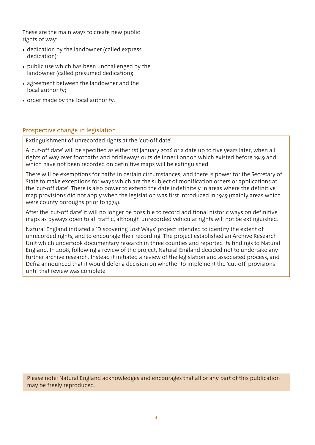These are the main ways to create new public rights of way:

- dedication by the landowner (called express dedication);
- public use which has been unchallenged by the landowner (called presumed dedication);
- agreement between the landowner and the local authority;
- order made by the local authority.

#### Prospective change in legislation

Extinguishment of unrecorded rights at the 'cut-off date'

A 'cut-off date' will be specified as either 1st January 2026 or a date up to five years later, when all rights of way over footpaths and bridleways outside Inner London which existed before 1949 and which have not been recorded on definitive maps will be extinguished.

There will be exemptions for paths in certain circumstances, and there is power for the Secretary of State to make exceptions for ways which are the subject of modification orders or applications at the 'cut-off date'. There is also power to extend the date indefinitely in areas where the definitive map provisions did not apply when the legislation was first introduced in 1949 (mainly areas which were county boroughs prior to 1974).

After the 'cut-off date' it will no longer be possible to record additional historic ways on definitive maps as byways open to all traffic, although unrecorded vehicular rights will not be extinguished.

Natural England initiated a 'Discovering Lost Ways' project intended to identify the extent of unrecorded rights, and to encourage their recording. The project established an Archive Research Unit which undertook documentary research in three counties and reported its findings to Natural England. In 2008, following a review of the project, Natural England decided not to undertake any further archive research. Instead it initiated a review of the legislation and associated process, and Defra announced that it would defer a decision on whether to implement the 'cut-off' provisions until that review was complete.

Please note: Natural England acknowledges and encourages that all or any part of this publication may be freely reproduced.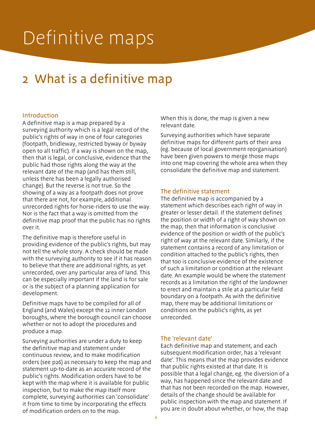# Definitive maps

## 2 What is a definitive map

#### Introduction

A definitive map is a map prepared by a surveying authority which is a legal record of the public's rights of way in one of four categories (footpath, bridleway, restricted byway or byway open to all traffic). If a way is shown on the map, then that is legal, or conclusive, evidence that the public had those rights along the way at the relevant date of the map (and has them still, unless there has been a legally authorised change). But the reverse is not true. So the showing of a way as a footpath does not prove that there are not, for example, additional unrecorded rights for horse-riders to use the way. Nor is the fact that a way is omitted from the definitive map proof that the public has no rights over it.

The definitive map is therefore useful in providing evidence of the public's rights, but may not tell the whole story. A check should be made with the surveying authority to see if it has reason to believe that there are additional rights, as yet unrecorded, over any particular area of land. This can be especially important if the land is for sale or is the subject of a planning application for development.

Definitive maps have to be compiled for all of England (and Wales) except the 12 inner London boroughs, where the borough council can choose whether or not to adopt the procedures and produce a map.

Surveying authorities are under a duty to keep the definitive map and statement under continuous review, and to make modification orders (see p26) as necessary to keep the map and statement up-to-date as an accurate record of the public's rights. Modification orders have to be kept with the map where it is available for public inspection, but to make the map itself more complete, surveying authorities can 'consolidate' it from time to time by incorporating the effects of modification orders on to the map.

When this is done, the map is given a new relevant date.

Surveying authorities which have separate definitive maps for different parts of their area (eg. because of local government reorganisation) have been given powers to merge those maps into one map covering the whole area when they consolidate the definitive map and statement.

#### The definitive statement

The definitive map is accompanied by a statement which describes each right of way in greater or lesser detail. If the statement defines the position or width of a right of way shown on the map, then that information is conclusive evidence of the position or width of the public's right of way at the relevant date. Similarly, if the statement contains a record of any limitation or condition attached to the public's rights, then that too is conclusive evidence of the existence of such a limitation or condition at the relevant date. An example would be where the statement records as a limitation the right of the landowner to erect and maintain a stile at a particular field boundary on a footpath. As with the definitive map, there may be additional limitations or conditions on the public's rights, as yet unrecorded.

#### The 'relevant date'

Each definitive map and statement, and each subsequent modification order, has a 'relevant date'. This means that the map provides evidence that public rights existed at that date. It is possible that a legal change, eg. the diversion of a way, has happened since the relevant date and that has not been recorded on the map. However, details of the change should be available for public inspection with the map and statement. If you are in doubt about whether, or how, the map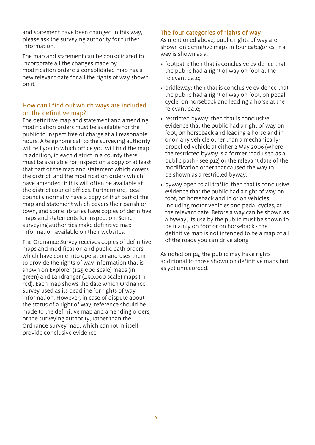and statement have been changed in this way, please ask the surveying authority for further information.

The map and statement can be consolidated to incorporate all the changes made by modification orders: a consolidated map has a new relevant date for all the rights of way shown on it.

#### How can I find out which ways are included on the definitive map?

The definitive map and statement and amending modification orders must be available for the public to inspect free of charge at all reasonable hours. A telephone call to the surveying authority will tell you in which office you will find the map. In addition, in each district in a county there must be available for inspection a copy of at least that part of the map and statement which covers the district, and the modification orders which have amended it: this will often be available at the district council offices. Furthermore, local councils normally have a copy of that part of the map and statement which covers their parish or town, and some libraries have copies of definitive maps and statements for inspection. Some surveying authorities make definitive map information available on their websites.

The Ordnance Survey receives copies of definitive maps and modification and public path orders which have come into operation and uses them to provide the rights of way information that is shown on Explorer (1:25,000 scale) maps (in green) and Landranger (1:50,000 scale) maps (in red). Each map shows the date which Ordnance Survey used as its deadline for rights of way information. However, in case of dispute about the status of a right of way, reference should be made to the definitive map and amending orders, or the surveying authority, rather than the Ordnance Survey map, which cannot in itself provide conclusive evidence.

#### The four categories of rights of way

As mentioned above, public rights of way are shown on definitive maps in four categories. If a way is shown as a:

- footpath: then that is conclusive evidence that the public had a right of way on foot at the relevant date;
- bridleway: then that is conclusive evidence that the public had a right of way on foot, on pedal cycle, on horseback and leading a horse at the relevant date;
- restricted byway: then that is conclusive evidence that the public had a right of way on foot, on horseback and leading a horse and in or on any vehicle other than a mechanicallypropelled vehicle at either 2 May 2006 (where the restricted byway is a former road used as a public path - see p12) or the relevant date of the modification order that caused the way to be shown as a restricted byway;
- byway open to all traffic: then that is conclusive evidence that the public had a right of way on foot, on horseback and in or on vehicles, including motor vehicles and pedal cycles, at the relevant date. Before a way can be shown as a byway, its use by the public must be shown to be mainly on foot or on horseback - the definitive map is not intended to be a map of all of the roads you can drive along

As noted on p4, the public may have rights additional to those shown on definitive maps but as yet unrecorded.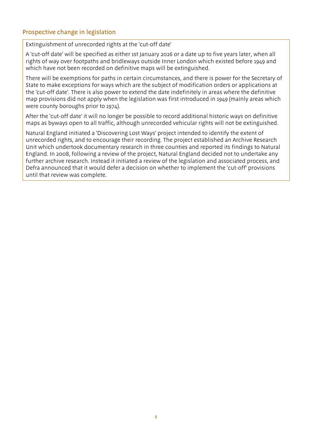#### Prospective change in legislation

Extinguishment of unrecorded rights at the 'cut-off date'

A 'cut-off date' will be specified as either 1st January 2026 or a date up to five years later, when all rights of way over footpaths and bridleways outside Inner London which existed before 1949 and which have not been recorded on definitive maps will be extinguished.

There will be exemptions for paths in certain circumstances, and there is power for the Secretary of State to make exceptions for ways which are the subject of modification orders or applications at the 'cut-off date'. There is also power to extend the date indefinitely in areas where the definitive map provisions did not apply when the legislation was first introduced in 1949 (mainly areas which were county boroughs prior to 1974).

After the 'cut-off date' it will no longer be possible to record additional historic ways on definitive maps as byways open to all traffic, although unrecorded vehicular rights will not be extinguished.

Natural England initiated a 'Discovering Lost Ways' project intended to identify the extent of unrecorded rights, and to encourage their recording. The project established an Archive Research Unit which undertook documentary research in three counties and reported its findings to Natural England. In 2008, following a review of the project, Natural England decided not to undertake any further archive research. Instead it initiated a review of the legislation and associated process, and Defra announced that it would defer a decision on whether to implement the 'cut-off' provisions until that review was complete.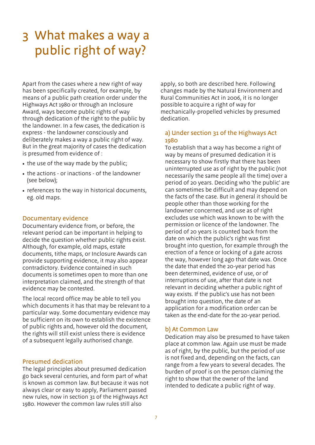### 3 What makes a way a public right of way?

Apart from the cases where a new right of way has been specifically created, for example, by means of a public path creation order under the Highways Act 1980 or through an Inclosure Award, ways become public rights of way through dedication of the right to the public by the landowner. In a few cases, the dedication is express - the landowner consciously and deliberately makes a way a public right of way. But in the great majority of cases the dedication is presumed from evidence of :

- the use of the way made by the public;
- the actions or inactions of the landowner (see below);
- references to the way in historical documents, eg. old maps.

#### Documentary evidence

Documentary evidence from, or before, the relevant period can be important in helping to decide the question whether public rights exist. Although, for example, old maps, estate documents, tithe maps, or Inclosure Awards can provide supporting evidence, it may also appear contradictory. Evidence contained in such documents is sometimes open to more than one interpretation claimed, and the strength of that evidence may be contested.

The local record office may be able to tell you which documents it has that may be relevant to a particular way. Some documentary evidence may be sufficient on its own to establish the existence of public rights and, however old the document, the rights will still exist unless there is evidence of a subsequent legally authorised change.

#### Presumed dedication

The legal principles about presumed dedication go back several centuries, and form part of what is known as common law. But because it was not always clear or easy to apply, Parliament passed new rules, now in section 31 of the Highways Act 1980. However the common law rules still also

apply, so both are described here. Following changes made by the Natural Environment and Rural Communities Act in 2006, it is no longer possible to acquire a right of way for mechanically-propelled vehicles by presumed dedication.

#### a) Under section 31 of the Highways Act 1980

To establish that a way has become a right of way by means of presumed dedication it is necessary to show firstly that there has been uninterrupted use as of right by the public (not necessarily the same people all the time) over a period of 20 years. Deciding who 'the public' are can sometimes be difficult and may depend on the facts of the case. But in general it should be people other than those working for the landowner concerned, and use as of right excludes use which was known to be with the permission or licence of the landowner. The period of 20 years is counted back from the date on which the public's right was first brought into question, for example through the erection of a fence or locking of a gate across the way, however long ago that date was. Once the date that ended the 20-year period has been determined, evidence of use, or of interruptions of use, after that date is not relevant in deciding whether a public right of way exists. If the public's use has not been brought into question, the date of an application for a modification order can be taken as the end-date for the 20-year period.

#### b) At Common Law

Dedication may also be presumed to have taken place at common law. Again use must be made as of right, by the public, but the period of use is not fixed and, depending on the facts, can range from a few years to several decades. The burden of proof is on the person claiming the right to show that the owner of the land intended to dedicate a public right of way.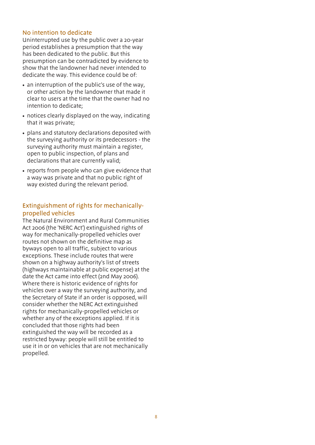#### No intention to dedicate

Uninterrupted use by the public over a 20-year period establishes a presumption that the way has been dedicated to the public. But this presumption can be contradicted by evidence to show that the landowner had never intended to dedicate the way. This evidence could be of:

- an interruption of the public's use of the way, or other action by the landowner that made it clear to users at the time that the owner had no intention to dedicate;
- notices clearly displayed on the way, indicating that it was private;
- plans and statutory declarations deposited with the surveying authority or its predecessors - the surveying authority must maintain a register, open to public inspection, of plans and declarations that are currently valid;
- reports from people who can give evidence that a way was private and that no public right of way existed during the relevant period.

#### Extinguishment of rights for mechanicallypropelled vehicles

The Natural Environment and Rural Communities Act 2006 (the 'NERC Act') extinguished rights of way for mechanically-propelled vehicles over routes not shown on the definitive map as byways open to all traffic, subject to various exceptions. These include routes that were shown on a highway authority's list of streets (highways maintainable at public expense) at the date the Act came into effect (2nd May 2006). Where there is historic evidence of rights for vehicles over a way the surveying authority, and the Secretary of State if an order is opposed, will consider whether the NERC Act extinguished rights for mechanically-propelled vehicles or whether any of the exceptions applied. If it is concluded that those rights had been extinguished the way will be recorded as a restricted byway: people will still be entitled to use it in or on vehicles that are not mechanically propelled.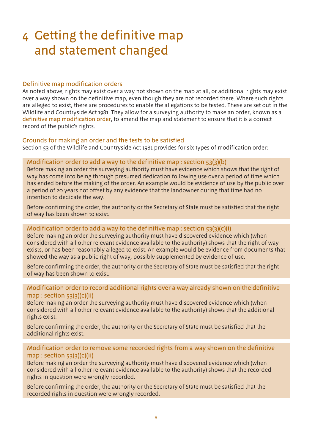### 4 Getting the definitive map and statement changed

#### Definitive map modification orders

As noted above, rights may exist over a way not shown on the map at all, or additional rights may exist over a way shown on the definitive map, even though they are not recorded there. Where such rights are alleged to exist, there are procedures to enable the allegations to be tested. These are set out in the Wildlife and Countryside Act 1981. They allow for a surveying authority to make an order, known as a definitive map modification order, to amend the map and statement to ensure that it is a correct record of the public's rights.

#### Grounds for making an order and the tests to be satisfied

Section 53 of the Wildlife and Countryside Act 1981 provides for six types of modification order:

#### Modification order to add a way to the definitive map : section  $53(3)(b)$

Before making an order the surveying authority must have evidence which shows that the right of way has come into being through presumed dedication following use over a period of time which has ended before the making of the order. An example would be evidence of use by the public over a period of 20 years not offset by any evidence that the landowner during that time had no intention to dedicate the way.

Before confirming the order, the authority or the Secretary of State must be satisfied that the right of way has been shown to exist.

#### Modification order to add a way to the definitive map : section 53(3)(c)(i)

Before making an order the surveying authority must have discovered evidence which (when considered with all other relevant evidence available to the authority) shows that the right of way exists, or has been reasonably alleged to exist. An example would be evidence from documents that showed the way as a public right of way, possibly supplemented by evidence of use.

Before confirming the order, the authority or the Secretary of State must be satisfied that the right of way has been shown to exist.

#### Modification order to record additional rights over a way already shown on the definitive map : section  $53(3)(c)(ii)$

Before making an order the surveying authority must have discovered evidence which (when considered with all other relevant evidence available to the authority) shows that the additional rights exist.

Before confirming the order, the authority or the Secretary of State must be satisfied that the additional rights exist.

#### Modification order to remove some recorded rights from a way shown on the definitive map : section  $53(3)(c)(ii)$

Before making an order the surveying authority must have discovered evidence which (when considered with all other relevant evidence available to the authority) shows that the recorded rights in question were wrongly recorded.

Before confirming the order, the authority or the Secretary of State must be satisfied that the recorded rights in question were wrongly recorded.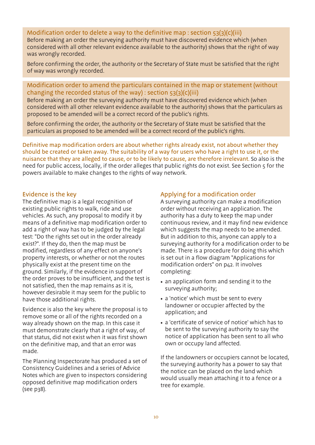#### Modification order to delete a way to the definitive map : section  $53(3)(c)(iii)$

Before making an order the surveying authority must have discovered evidence which (when considered with all other relevant evidence available to the authority) shows that the right of way was wrongly recorded.

Before confirming the order, the authority or the Secretary of State must be satisfied that the right of way was wrongly recorded.

#### Modification order to amend the particulars contained in the map or statement (without changing the recorded status of the way) : section 53(3)(c)(iii)

Before making an order the surveying authority must have discovered evidence which (when considered with all other relevant evidence available to the authority) shows that the particulars as proposed to be amended will be a correct record of the public's rights.

Before confirming the order, the authority or the Secretary of State must be satisfied that the particulars as proposed to be amended will be a correct record of the public's rights.

Definitive map modification orders are about whether rights already exist, not about whether they should be created or taken away. The suitability of a way for users who have a right to use it, or the nuisance that they are alleged to cause, or to be likely to cause, are therefore irrelevant. So also is the need for public access, locally, if the order alleges that public rights do not exist. See Section 5 for the powers available to make changes to the rights of way network.

#### Evidence is the key

The definitive map is a legal recognition of existing public rights to walk, ride and use vehicles. As such, any proposal to modify it by means of a definitive map modification order to add a right of way has to be judged by the legal test: "Do the rights set out in the order already exist?". If they do, then the map must be modified, regardless of any effect on anyone's property interests, or whether or not the routes physically exist at the present time on the ground. Similarly, if the evidence in support of the order proves to be insufficient, and the test is not satisfied, then the map remains as it is, however desirable it may seem for the public to have those additional rights.

Evidence is also the key where the proposal is to remove some or all of the rights recorded on a way already shown on the map. In this case it must demonstrate clearly that a right of way, of that status, did not exist when it was first shown on the definitive map, and that an error was made.

The Planning Inspectorate has produced a set of Consistency Guidelines and a series of Advice Notes which are given to inspectors considering opposed definitive map modification orders (see p38).

#### Applying for a modification order

A surveying authority can make a modification order without receiving an application. The authority has a duty to keep the map under continuous review, and it may find new evidence which suggests the map needs to be amended. But in addition to this, anyone can apply to a surveying authority for a modification order to be made. There is a procedure for doing this which is set out in a flow diagram "Applications for modification orders" on p42. It involves completing:

- an application form and sending it to the surveying authority;
- a 'notice' which must be sent to every landowner or occupier affected by the application; and
- a 'certificate of service of notice' which has to be sent to the surveying authority to say the notice of application has been sent to all who own or occupy land affected.

If the landowners or occupiers cannot be located, the surveying authority has a power to say that the notice can be placed on the land which would usually mean attaching it to a fence or a tree for example.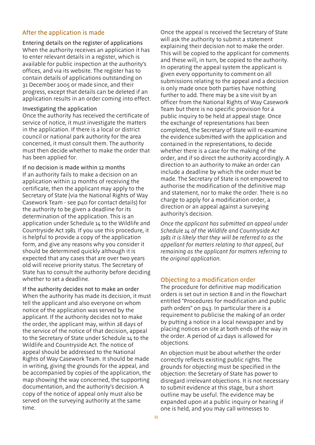#### After the application is made

Entering details on the register of applications When the authority receives an application it has to enter relevant details in a register, which is available for public inspection at the authority's offices, and via its website. The register has to contain details of applications outstanding on 31 December 2005 or made since, and their progress, except that details can be deleted if an application results in an order coming into effect.

#### Investigating the application

Once the authority has received the certificate of service of notice, it must investigate the matters in the application. If there is a local or district council or national park authority for the area concerned, it must consult them. The authority must then decide whether to make the order that has been applied for.

If no decision is made within 12 months If an authority fails to make a decision on an application within 12 months of receiving the certificate, then the applicant may apply to the Secretary of State (via the National Rights of Way Casework Team - see p40 for contact details) for the authority to be given a deadline for its determination of the application. This is an application under Schedule 14 to the Wildlife and Countryside Act 1981. If you use this procedure, it is helpful to provide a copy of the application form, and give any reasons why you consider it should be determined quickly although it is expected that any cases that are over two years old will receive priority status. The Secretary of State has to consult the authority before deciding whether to set a deadline.

If the authority decides not to make an order When the authority has made its decision, it must tell the applicant and also everyone on whom notice of the application was served by the applicant. If the authority decides not to make the order, the applicant may, within 28 days of the service of the notice of that decision, appeal to the Secretary of State under Schedule 14 to the Wildlife and Countryside Act. The notice of appeal should be addressed to the National Rights of Way Casework Team. It should be made in writing, giving the grounds for the appeal, and be accompanied by copies of the application, the map showing the way concerned, the supporting documentation, and the authority's decision. A copy of the notice of appeal only must also be served on the surveying authority at the same time.

Once the appeal is received the Secretary of State will ask the authority to submit a statement explaining their decision not to make the order. This will be copied to the applicant for comments and these will, in turn, be copied to the authority. In operating the appeal system the applicant is given every opportunity to comment on all submissions relating to the appeal and a decision is only made once both parties have nothing further to add. There may be a site visit by an officer from the National Rights of Way Casework Team but there is no specific provision for a public inquiry to be held at appeal stage. Once the exchange of representations has been completed, the Secretary of State will re-examine the evidence submitted with the application and contained in the representations, to decide whether there is a case for the making of the order, and if so direct the authority accordingly. A direction to an authority to make an order can include a deadline by which the order must be made. The Secretary of State is not empowered to authorise the modification of the definitive map and statement, nor to make the order. There is no charge to apply for a modification order, a direction or an appeal against a surveying authority's decision.

*Once the applicant has submitted an appeal under Schedule 14 of the Wildlife and Countryside Act 1981 it is likely that they will be referred to as the appellant for matters relating to that appeal, but remaining as the applicant for matters referring to the original application.*

#### Objecting to a modification order

The procedure for definitive map modification orders is set out in section 8 and in the flowchart entitled "Procedures for modification and public path orders" on p43. In particular there is a requirement to publicise the making of an order by putting a notice in a local newspaper and by placing notices on site at both ends of the way in the order. A period of 42 days is allowed for objections.

An objection must be about whether the order correctly reflects existing public rights. The grounds for objecting must be specified in the objection: the Secretary of State has power to disregard irrelevant objections. It is not necessary to submit evidence at this stage, but a short outline may be useful. The evidence may be expanded upon at a public inquiry or hearing if one is held, and you may call witnesses to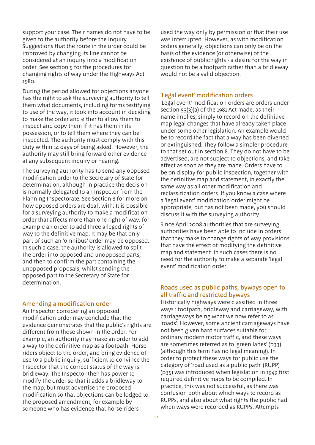support your case. Their names do not have to be given to the authority before the inquiry. Suggestions that the route in the order could be improved by changing its line cannot be considered at an inquiry into a modification order. See section 5 for the procedures for changing rights of way under the Highways Act 1980.

During the period allowed for objections anyone has the right to ask the surveying authority to tell them what documents, including forms testifying to use of the way, it took into account in deciding to make the order and either to allow them to inspect and copy them if it has them in its possession, or to tell them where they can be inspected. The authority must comply with this duty within 14 days of being asked. However, the authority may still bring forward other evidence at any subsequent inquiry or hearing.

The surveying authority has to send any opposed modification order to the Secretary of State for determination, although in practice the decision is normally delegated to an Inspector from the Planning Inspectorate. See Section 8 for more on how opposed orders are dealt with. It is possible for a surveying authority to make a modification order that affects more than one right of way: for example an order to add three alleged rights of way to the definitive map. It may be that only part of such an 'omnibus' order may be opposed. In such a case, the authority is allowed to split the order into opposed and unopposed parts, and then to confirm the part containing the unopposed proposals, whilst sending the opposed part to the Secretary of State for determination.

#### Amending a modification order

An Inspector considering an opposed modification order may conclude that the evidence demonstrates that the public's rights are different from those shown in the order. For example, an authority may make an order to add a way to the definitive map as a footpath. Horseriders object to the order, and bring evidence of use to a public inquiry, sufficient to convince the Inspector that the correct status of the way is bridleway. The Inspector then has power to modify the order so that it adds a bridleway to the map, but must advertise the proposed modification so that objections can be lodged to the proposed amendment, for example by someone who has evidence that horse-riders

used the way only by permission or that their use was interrupted. However, as with modification orders generally, objections can only be on the basis of the evidence (or otherwise) of the existence of public rights - a desire for the way in question to be a footpath rather than a bridleway would not be a valid objection.

#### 'Legal event' modification orders

'Legal event' modification orders are orders under section 53(3)(a) of the 1981 Act made, as their name implies, simply to record on the definitive map legal changes that have already taken place under some other legislation. An example would be to record the fact that a way has been diverted or extinguished. They follow a simpler procedure to that set out in section 8. They do not have to be advertised, are not subject to objections, and take effect as soon as they are made. Orders have to be on display for public inspection, together with the definitive map and statement, in exactly the same way as all other modification and reclassification orders. If you know a case where a 'legal event' modification order might be appropriate, but has not been made, you should discuss it with the surveying authority.

Since April 2008 authorities that are surveying authorities have been able to include in orders that they make to change rights of way provisions that have the effect of modifying the definitive map and statement. In such cases there is no need for the authority to make a separate 'legal event' modification order.

#### Roads used as public paths, byways open to all traffic and restricted byways

Historically highways were classified in three ways : footpath, bridleway and carriageway, with carriageways being what we now refer to as 'roads'. However, some ancient carriageways have not been given hard surfaces suitable for ordinary modern motor traffic, and these ways are sometimes referred as to 'green lanes' (p33) (although this term has no legal meaning). In order to protect these ways for public use the category of 'road used as a public path' (RUPP) (p35) was introduced when legislation in 1949 first required definitive maps to be compiled. In practice, this was not successful, as there was confusion both about which ways to record as RUPPs, and also about what rights the public had when ways were recorded as RUPPs. Attempts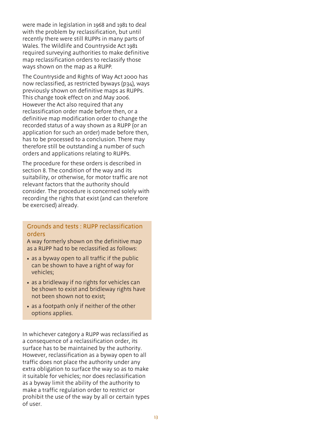were made in legislation in 1968 and 1981 to deal with the problem by reclassification, but until recently there were still RUPPs in many parts of Wales. The Wildlife and Countryside Act 1981 required surveying authorities to make definitive map reclassification orders to reclassify those ways shown on the map as a RUPP.

The Countryside and Rights of Way Act 2000 has now reclassified, as restricted byways (p34), ways previously shown on definitive maps as RUPPs. This change took effect on 2nd May 2006. However the Act also required that any reclassification order made before then, or a definitive map modification order to change the recorded status of a way shown as a RUPP (or an application for such an order) made before then, has to be processed to a conclusion. There may therefore still be outstanding a number of such orders and applications relating to RUPPs.

The procedure for these orders is described in section 8. The condition of the way and its suitability, or otherwise, for motor traffic are not relevant factors that the authority should consider. The procedure is concerned solely with recording the rights that exist (and can therefore be exercised) already.

#### Grounds and tests : RUPP reclassification orders

A way formerly shown on the definitive map as a RUPP had to be reclassified as follows:

- as a byway open to all traffic if the public can be shown to have a right of way for vehicles;
- as a bridleway if no rights for vehicles can be shown to exist and bridleway rights have not been shown not to exist;
- as a footpath only if neither of the other options applies.

In whichever category a RUPP was reclassified as a consequence of a reclassification order, its surface has to be maintained by the authority. However, reclassification as a byway open to all traffic does not place the authority under any extra obligation to surface the way so as to make it suitable for vehicles; nor does reclassification as a byway limit the ability of the authority to make a traffic regulation order to restrict or prohibit the use of the way by all or certain types of user.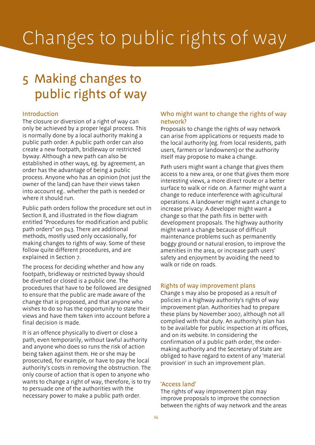# Changes to public rights of way

## 5 Making changes to public rights of way

#### Introduction

The closure or diversion of a right of way can only be achieved by a proper legal process. This is normally done by a local authority making a public path order. A public path order can also create a new footpath, bridleway or restricted byway. Although a new path can also be established in other ways, eg. by agreement, an order has the advantage of being a public process. Anyone who has an opinion (not just the owner of the land) can have their views taken into account eg.. whether the path is needed or where it should run.

Public path orders follow the procedure set out in Section 8, and illustrated in the flow diagram entitled "Procedures for modification and public path orders" on p43. There are additional methods, mostly used only occasionally, for making changes to rights of way. Some of these follow quite different procedures, and are explained in Section 7.

The process for deciding whether and how any footpath, bridleway or restricted byway should be diverted or closed is a public one. The procedures that have to be followed are designed to ensure that the public are made aware of the change that is proposed, and that anyone who wishes to do so has the opportunity to state their views and have them taken into account before a final decision is made.

It is an offence physically to divert or close a path, even temporarily, without lawful authority and anyone who does so runs the risk of action being taken against them. He or she may be prosecuted, for example, or have to pay the local authority's costs in removing the obstruction. The only course of action that is open to anyone who wants to change a right of way, therefore, is to try to persuade one of the authorities with the necessary power to make a public path order.

#### Who might want to change the rights of way network?

Proposals to change the rights of way network can arise from applications or requests made to the local authority (eg. from local residents, path users, farmers or landowners) or the authority itself may propose to make a change.

Path users might want a change that gives them access to a new area, or one that gives them more interesting views, a more direct route or a better surface to walk or ride on. A farmer might want a change to reduce interference with agricultural operations. A landowner might want a change to increase privacy. A developer might want a change so that the path fits in better with development proposals. The highway authority might want a change because of difficult maintenance problems such as permanently boggy ground or natural erosion, to improve the amenities in the area, or increase path users' safety and enjoyment by avoiding the need to walk or ride on roads.

#### Rights of way improvement plans

Change s may also be proposed as a result of policies in a highway authority's rights of way improvement plan. Authorities had to prepare these plans by November 2007, although not all complied with that duty. An authority's plan has to be available for public inspection at its offices, and on its website. In considering the confirmation of a public path order, the ordermaking authority and the Secretary of State are obliged to have regard to extent of any 'material provision' in such an improvement plan.

#### 'Access land'

The rights of way improvement plan may improve proposals to improve the connection between the rights of way network and the areas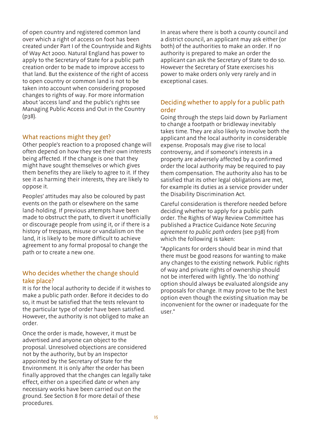of open country and registered common land over which a right of access on foot has been created under Part I of the Countryside and Rights of Way Act 2000. Natural England has power to apply to the Secretary of State for a public path creation order to be made to improve access to that land. But the existence of the right of access to open country or common land is not to be taken into account when considering proposed changes to rights of way. For more information about 'access land' and the public's rights see Managing Public Access and Out in the Country (p38).

#### What reactions might they get?

Other people's reaction to a proposed change will often depend on how they see their own interests being affected. If the change is one that they might have sought themselves or which gives them benefits they are likely to agree to it. If they see it as harming their interests, they are likely to oppose it.

Peoples' attitudes may also be coloured by past events on the path or elsewhere on the same land-holding. If previous attempts have been made to obstruct the path, to divert it unofficially or discourage people from using it, or if there is a history of trespass, misuse or vandalism on the land, it is likely to be more difficult to achieve agreement to any formal proposal to change the path or to create a new one.

#### Who decides whether the change should take place?

It is for the local authority to decide if it wishes to make a public path order. Before it decides to do so, it must be satisfied that the tests relevant to the particular type of order have been satisfied. However, the authority is not obliged to make an order.

Once the order is made, however, it must be advertised and anyone can object to the proposal. Unresolved objections are considered not by the authority, but by an Inspector appointed by the Secretary of State for the Environment. It is only after the order has been finally approved that the changes can legally take effect, either on a specified date or when any necessary works have been carried out on the ground. See Section 8 for more detail of these procedures.

In areas where there is both a county council and a district council, an applicant may ask either (or both) of the authorities to make an order. If no authority is prepared to make an order the applicant can ask the Secretary of State to do so. However the Secretary of State exercises his power to make orders only very rarely and in exceptional cases.

#### Deciding whether to apply for a public path order

Going through the steps laid down by Parliament to change a footpath or bridleway inevitably takes time. They are also likely to involve both the applicant and the local authority in considerable expense. Proposals may give rise to local controversy, and if someone's interests in a property are adversely affected by a confirmed order the local authority may be required to pay them compensation. The authority also has to be satisfied that its other legal obligations are met, for example its duties as a service provider under the Disability Discrimination Act.

Careful consideration is therefore needed before deciding whether to apply for a public path order. The Rights of Way Review Committee has published a Practice Guidance Note *Securing agreement to public path orders* (see p38) from which the following is taken:

"Applicants for orders should bear in mind that there must be good reasons for wanting to make any changes to the existing network. Public rights of way and private rights of ownership should not be interfered with lightly. The 'do nothing' option should always be evaluated alongside any proposals for change. It may prove to be the best option even though the existing situation may be inconvenient for the owner or inadequate for the user."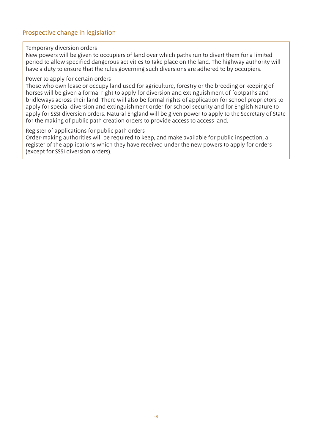#### Prospective change in legislation

#### Temporary diversion orders

New powers will be given to occupiers of land over which paths run to divert them for a limited period to allow specified dangerous activities to take place on the land. The highway authority will have a duty to ensure that the rules governing such diversions are adhered to by occupiers.

#### Power to apply for certain orders

Those who own lease or occupy land used for agriculture, forestry or the breeding or keeping of horses will be given a formal right to apply for diversion and extinguishment of footpaths and bridleways across their land. There will also be formal rights of application for school proprietors to apply for special diversion and extinguishment order for school security and for English Nature to apply for SSSI diversion orders. Natural England will be given power to apply to the Secretary of State for the making of public path creation orders to provide access to access land.

#### Register of applications for public path orders

Order-making authorities will be required to keep, and make available for public inspection, a register of the applications which they have received under the new powers to apply for orders (except for SSSI diversion orders).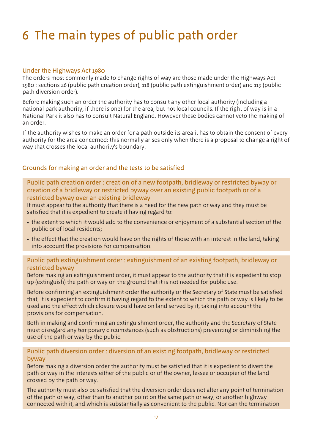## 6 The main types of public path order

#### Under the Highways Act 1980

The orders most commonly made to change rights of way are those made under the Highways Act 1980 : sections 26 (public path creation order), 118 (public path extinguishment order) and 119 (public path diversion order).

Before making such an order the authority has to consult any other local authority (including a national park authority, if there is one) for the area, but not local councils. If the right of way is in a National Park it also has to consult Natural England. However these bodies cannot veto the making of an order.

If the authority wishes to make an order for a path outside its area it has to obtain the consent of every authority for the area concerned: this normally arises only when there is a proposal to change a right of way that crosses the local authority's boundary.

#### Grounds for making an order and the tests to be satisfied

Public path creation order : creation of a new footpath, bridleway or restricted byway or creation of a bridleway or restricted byway over an existing public footpath or of a restricted byway over an existing bridleway

It must appear to the authority that there is a need for the new path or way and they must be satisfied that it is expedient to create it having regard to:

- the extent to which it would add to the convenience or enjoyment of a substantial section of the public or of local residents;
- the effect that the creation would have on the rights of those with an interest in the land, taking into account the provisions for compensation.

#### Public path extinguishment order : extinguishment of an existing footpath, bridleway or restricted byway

Before making an extinguishment order, it must appear to the authority that it is expedient to stop up (extinguish) the path or way on the ground that it is not needed for public use.

Before confirming an extinguishment order the authority or the Secretary of State must be satisfied that, it is expedient to confirm it having regard to the extent to which the path or way is likely to be used and the effect which closure would have on land served by it, taking into account the provisions for compensation.

Both in making and confirming an extinguishment order, the authority and the Secretary of State must disregard any temporary circumstances (such as obstructions) preventing or diminishing the use of the path or way by the public.

#### Public path diversion order : diversion of an existing footpath, bridleway or restricted byway

Before making a diversion order the authority must be satisfied that it is expedient to divert the path or way in the interests either of the public or of the owner, lessee or occupier of the land crossed by the path or way.

The authority must also be satisfied that the diversion order does not alter any point of termination of the path or way, other than to another point on the same path or way, or another highway connected with it, and which is substantially as convenient to the public. Nor can the termination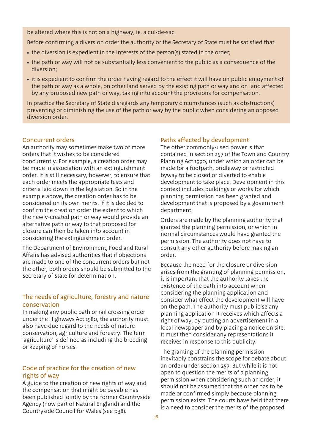be altered where this is not on a highway, ie. a cul-de-sac.

Before confirming a diversion order the authority or the Secretary of State must be satisfied that:

- the diversion is expedient in the interests of the person(s) stated in the order;
- the path or way will not be substantially less convenient to the public as a consequence of the diversion;
- it is expedient to confirm the order having regard to the effect it will have on public enjoyment of the path or way as a whole, on other land served by the existing path or way and on land affected by any proposed new path or way, taking into account the provisions for compensation.

In practice the Secretary of State disregards any temporary circumstances (such as obstructions) preventing or diminishing the use of the path or way by the public when considering an opposed diversion order.

#### Concurrent orders

An authority may sometimes make two or more orders that it wishes to be considered concurrently. For example, a creation order may be made in association with an extinguishment order. It is still necessary, however, to ensure that each order meets the appropriate tests and criteria laid down in the legislation. So in the example above, the creation order has to be considered on its own merits. If it is decided to confirm the creation order the extent to which the newly-created path or way would provide an alternative path or way to that proposed for closure can then be taken into account in considering the extinguishment order.

The Department of Environment, Food and Rural Affairs has advised authorities that if objections are made to one of the concurrent orders but not the other, both orders should be submitted to the Secretary of State for determination.

#### The needs of agriculture, forestry and nature conservation

In making any public path or rail crossing order under the Highways Act 1980, the authority must also have due regard to the needs of nature conservation, agriculture and forestry. The term 'agriculture' is defined as including the breeding or keeping of horses.

#### Code of practice for the creation of new rights of way

A guide to the creation of new rights of way and the compensation that might be payable has been published jointly by the former Countryside Agency (now part of Natural England) and the Countryside Council for Wales (see p38).

#### Paths affected by development

The other commonly-used power is that contained in section 257 of the Town and Country Planning Act 1990, under which an order can be made for a footpath, bridleway or restricted byway to be closed or diverted to enable development to take place. Development in this context includes buildings or works for which planning permission has been granted and development that is proposed by a government department.

Orders are made by the planning authority that granted the planning permission, or which in normal circumstances would have granted the permission. The authority does not have to consult any other authority before making an order.

Because the need for the closure or diversion arises from the granting of planning permission, it is important that the authority takes the existence of the path into account when considering the planning application and consider what effect the development will have on the path. The authority must publicise any planning application it receives which affects a right of way, by putting an advertisement in a local newspaper and by placing a notice on site. It must then consider any representations it receives in response to this publicity.

The granting of the planning permission inevitably constrains the scope for debate about an order under section 257. But while it is not open to question the merits of a planning permission when considering such an order, it should not be assumed that the order has to be made or confirmed simply because planning permission exists. The courts have held that there is a need to consider the merits of the proposed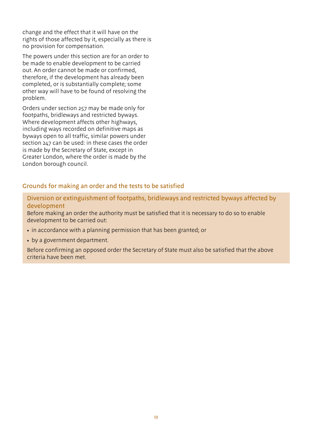change and the effect that it will have on the rights of those affected by it, especially as there is no provision for compensation.

The powers under this section are for an order to be made to enable development to be carried out. An order cannot be made or confirmed, therefore, if the development has already been completed, or is substantially complete; some other way will have to be found of resolving the problem.

Orders under section 257 may be made only for footpaths, bridleways and restricted byways. Where development affects other highways, including ways recorded on definitive maps as byways open to all traffic, similar powers under section 247 can be used: in these cases the order is made by the Secretary of State, except in Greater London, where the order is made by the London borough council.

#### Grounds for making an order and the tests to be satisfied

Diversion or extinguishment of footpaths, bridleways and restricted byways affected by development

Before making an order the authority must be satisfied that it is necessary to do so to enable development to be carried out:

- in accordance with a planning permission that has been granted; or
- by a government department.

Before confirming an opposed order the Secretary of State must also be satisfied that the above criteria have been met.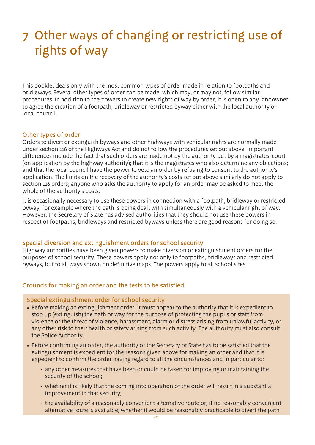### 7 Other ways of changing or restricting use of rights of way

This booklet deals only with the most common types of order made in relation to footpaths and bridleways. Several other types of order can be made, which may, or may not, follow similar procedures. In addition to the powers to create new rights of way by order, it is open to any landowner to agree the creation of a footpath, bridleway or restricted byway either with the local authority or local council.

#### Other types of order

Orders to divert or extinguish byways and other highways with vehicular rights are normally made under section 116 of the Highways Act and do not follow the procedures set out above. Important differences include the fact that such orders are made not by the authority but by a magistrates' court (on application by the highway authority); that it is the magistrates who also determine any objections; and that the local council have the power to veto an order by refusing to consent to the authority's application. The limits on the recovery of the authority's costs set out above similarly do not apply to section 116 orders; anyone who asks the authority to apply for an order may be asked to meet the whole of the authority's costs.

It is occasionally necessary to use these powers in connection with a footpath, bridleway or restricted byway, for example where the path is being dealt with simultaneously with a vehicular right of way. However, the Secretary of State has advised authorities that they should not use these powers in respect of footpaths, bridleways and restricted byways unless there are good reasons for doing so.

#### Special diversion and extinguishment orders for school security

Highway authorities have been given powers to make diversion or extinguishment orders for the purposes of school security. These powers apply not only to footpaths, bridleways and restricted byways, but to all ways shown on definitive maps. The powers apply to all school sites.

#### Grounds for making an order and the tests to be satisfied

#### Special extinguishment order for school security

- Before making an extinguishment order, it must appear to the authority that it is expedient to stop up (extinguish) the path or way for the purpose of protecting the pupils or staff from violence or the threat of violence, harassment, alarm or distress arising from unlawful activity, or any other risk to their health or safety arising from such activity. The authority must also consult the Police Authority.
- Before confirming an order, the authority or the Secretary of State has to be satisfied that the extinguishment is expedient for the reasons given above for making an order and that it is expedient to confirm the order having regard to all the circumstances and in particular to:
	- any other measures that have been or could be taken for improving or maintaining the security of the school;
	- whether it is likely that the coming into operation of the order will result in a substantial improvement in that security;
	- the availability of a reasonably convenient alternative route or, if no reasonably convenient alternative route is available, whether it would be reasonably practicable to divert the path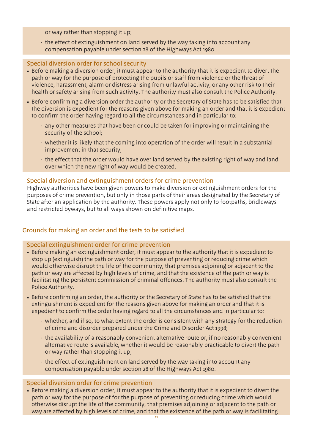or way rather than stopping it up;

- the effect of extinguishment on land served by the way taking into account any compensation payable under section 28 of the Highways Act 1980.

#### Special diversion order for school security

- Before making a diversion order, it must appear to the authority that it is expedient to divert the path or way for the purpose of protecting the pupils or staff from violence or the threat of violence, harassment, alarm or distress arising from unlawful activity, or any other risk to their health or safety arising from such activity. The authority must also consult the Police Authority.
- Before confirming a diversion order the authority or the Secretary of State has to be satisfied that the diversion is expedient for the reasons given above for making an order and that it is expedient to confirm the order having regard to all the circumstances and in particular to:
	- any other measures that have been or could be taken for improving or maintaining the security of the school;
	- whether it is likely that the coming into operation of the order will result in a substantial improvement in that security;
	- the effect that the order would have over land served by the existing right of way and land over which the new right of way would be created.

#### Special diversion and extinguishment orders for crime prevention

Highway authorities have been given powers to make diversion or extinguishment orders for the purposes of crime prevention, but only in those parts of their areas designated by the Secretary of State after an application by the authority. These powers apply not only to footpaths, bridleways and restricted byways, but to all ways shown on definitive maps.

#### Grounds for making an order and the tests to be satisfied

#### Special extinguishment order for crime prevention

- Before making an extinguishment order, it must appear to the authority that it is expedient to stop up (extinguish) the path or way for the purpose of preventing or reducing crime which would otherwise disrupt the life of the community, that premises adjoining or adjacent to the path or way are affected by high levels of crime, and that the existence of the path or way is facilitating the persistent commission of criminal offences. The authority must also consult the Police Authority.
- Before confirming an order, the authority or the Secretary of State has to be satisfied that the extinguishment is expedient for the reasons given above for making an order and that it is expedient to confirm the order having regard to all the circumstances and in particular to:
	- whether, and if so, to what extent the order is consistent with any strategy for the reduction of crime and disorder prepared under the Crime and Disorder Act 1998;
	- the availability of a reasonably convenient alternative route or, if no reasonably convenient alternative route is available, whether it would be reasonably practicable to divert the path or way rather than stopping it up;
	- the effect of extinguishment on land served by the way taking into account any compensation payable under section 28 of the Highways Act 1980.

#### Special diversion order for crime prevention

• Before making a diversion order, it must appear to the authority that it is expedient to divert the path or way for the purpose of for the purpose of preventing or reducing crime which would otherwise disrupt the life of the community, that premises adjoining or adjacent to the path or way are affected by high levels of crime, and that the existence of the path or way is facilitating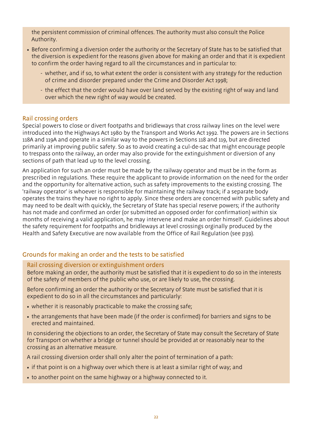the persistent commission of criminal offences. The authority must also consult the Police Authority.

- Before confirming a diversion order the authority or the Secretary of State has to be satisfied that the diversion is expedient for the reasons given above for making an order and that it is expedient to confirm the order having regard to all the circumstances and in particular to:
	- whether, and if so, to what extent the order is consistent with any strategy for the reduction of crime and disorder prepared under the Crime and Disorder Act 1998;
	- the effect that the order would have over land served by the existing right of way and land over which the new right of way would be created.

#### Rail crossing orders

Special powers to close or divert footpaths and bridleways that cross railway lines on the level were introduced into the Highways Act 1980 by the Transport and Works Act 1992. The powers are in Sections 118A and 119A and operate in a similar way to the powers in Sections 118 and 119, but are directed primarily at improving public safety. So as to avoid creating a cul-de-sac that might encourage people to trespass onto the railway, an order may also provide for the extinguishment or diversion of any sections of path that lead up to the level crossing.

An application for such an order must be made by the railway operator and must be in the form as prescribed in regulations. These require the applicant to provide information on the need for the order and the opportunity for alternative action, such as safety improvements to the existing crossing. The 'railway operator' is whoever is responsible for maintaining the railway track; if a separate body operates the trains they have no right to apply. Since these orders are concerned with public safety and may need to be dealt with quickly, the Secretary of State has special reserve powers; if the authority has not made and confirmed an order (or submitted an opposed order for confirmation) within six months of receiving a valid application, he may intervene and make an order himself. Guidelines about the safety requirement for footpaths and bridleways at level crossings orginally produced by the Health and Safety Executive are now available from the Office of Rail Regulation (see p39).

#### Grounds for making an order and the tests to be satisfied

#### Rail crossing diversion or extinguishment orders

Before making an order, the authority must be satisfied that it is expedient to do so in the interests of the safety of members of the public who use, or are likely to use, the crossing.

Before confirming an order the authority or the Secretary of State must be satisfied that it is expedient to do so in all the circumstances and particularly:

- whether it is reasonably practicable to make the crossing safe;
- the arrangements that have been made (if the order is confirmed) for barriers and signs to be erected and maintained.

In considering the objections to an order, the Secretary of State may consult the Secretary of State for Transport on whether a bridge or tunnel should be provided at or reasonably near to the crossing as an alternative measure.

A rail crossing diversion order shall only alter the point of termination of a path:

- if that point is on a highway over which there is at least a similar right of way; and
- to another point on the same highway or a highway connected to it.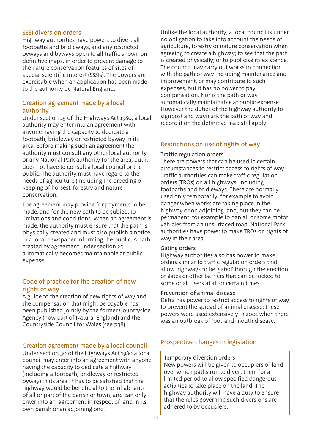#### SSSI diversion orders

Highway authorities have powers to divert all footpaths and bridleways, and any restricted byways and byways open to all traffic shown on definitive maps, in order to prevent damage to the nature conservation features of sites of special scientific interest (SSSIs). The powers are exercisable when an application has been made to the authority by Natural England.

#### Creation agreement made by a local authority

Under section 25 of the Highways Act 1980, a local authority may enter into an agreement with anyone having the capacity to dedicate a footpath, bridleway or restricted byway in its area. Before making such an agreement the authority must consult any other local authority or any National Park authority for the area, but it does not have to consult a local council or the public. The authority must have regard to the needs of agriculture (including the breeding or keeping of horses), forestry and nature conservation.

The agreement may provide for payments to be made, and for the new path to be subject to limitations and conditions. When an agreement is made, the authority must ensure that the path is physically created and must also publish a notice in a local newspaper informing the public. A path created by agreement under section 25 automatically becomes maintainable at public expense.

#### Code of practice for the creation of new rights of way

A guide to the creation of new rights of way and the compensation that might be payable has been published jointly by the former Countryside Agency (now part of Natural England) and the Countryside Council for Wales (see p38).

#### Creation agreement made by a local council

Under section 30 of the Highways Act 1980 a local council may enter into an agreement with anyone having the capacity to dedicate a highway (including a footpath, bridleway or restricted byway) in its area. It has to be satisfied that the highway would be beneficial to the inhabitants of all or part of the parish or town, and can only enter into an agreement in respect of land in its own parish or an adjoining one.

Unlike the local authority, a local council is under no obligation to take into account the needs of agriculture, forestry or nature conservation when agreeing to create a highway; to see that the path is created physically; or to publicise its existence. The council may carry out works in connection with the path or way including maintenance and improvement, or may contribute to such expenses, but it has no power to pay compensation. Nor is the path or way automatically maintainable at public expense. However the duties of the highway authority to signpost and waymark the path or way and record it on the definitive map still apply.

#### Restrictions on use of rights of way

#### Traffic regulation orders

There are powers that can be used in certain circumstances to restrict access to rights of way. Traffic authorities can make traffic regulation orders (TROs) on all highways, including footpaths and bridleways. These are normally used only temporarily, for example to avoid danger when works are taking place in the highway or on adjoining land, but they can be permanent, for example to ban all or some motor vehicles from an unsurfaced road. National Park authorities have power to make TROs on rights of way in their area.

#### Gating orders

Highway authorities also has power to make orders similar to traffic regulation orders that allow highways to be 'gated' through the erection of gates or other barriers that can be locked to some or all users at all or certain times.

#### Prevention of animal disease

Defra has power to restrict access to rights of way to prevent the spread of animal disease: these powers were used extensively in 2001 when there was an outbreak of foot-and-mouth disease.

#### Prospective changes in legislation

#### Temporary diversion orders

New powers will be given to occupiers of land over which paths run to divert them for a limited period to allow specified dangerous activities to take place on the land. The highway authority will have a duty to ensure that the rules governing such diversions are adhered to by occupiers.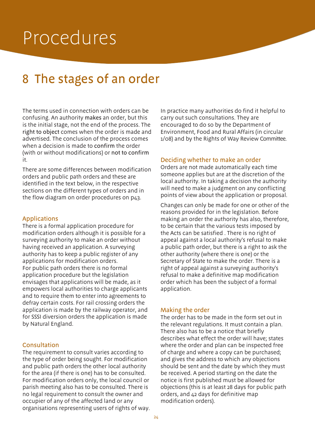## Procedures

### 8 The stages of an order

The terms used in connection with orders can be confusing. An authority makes an order, but this is the initial stage, not the end of the process. The right to object comes when the order is made and advertised. The conclusion of the process comes when a decision is made to confirm the order (with or without modifications) or not to confirm it.

There are some differences between modification orders and public path orders and these are identified in the text below, in the respective sections on the different types of orders and in the flow diagram on order procedures on p43.

#### Applications

There is a formal application procedure for modification orders although it is possible for a surveying authority to make an order without having received an application. A surveying authority has to keep a public register of any applications for modification orders. For public path orders there is no formal application procedure but the legislation envisages that applications will be made, as it empowers local authorities to charge applicants and to require them to enter into agreements to defray certain costs. For rail crossing orders the application is made by the railway operator, and for SSSI diversion orders the application is made by Natural England.

#### Consultation

The requirement to consult varies according to the type of order being sought. For modification and public path orders the other local authority for the area (if there is one) has to be consulted. For modification orders only, the local council or parish meeting also has to be consulted. There is no legal requirement to consult the owner and occupier of any of the affected land or any organisations representing users of rights of way. In practice many authorities do find it helpful to carry out such consultations. They are encouraged to do so by the Department of Environment, Food and Rural Affairs (in circular 1/08) and by the Rights of Way Review Committee.

#### Deciding whether to make an order

Orders are not made automatically each time someone applies but are at the discretion of the local authority. In taking a decision the authority will need to make a judgment on any conflicting points of view about the application or proposal.

Changes can only be made for one or other of the reasons provided for in the legislation. Before making an order the authority has also, therefore, to be certain that the various tests imposed by the Acts can be satisfied . There is no right of appeal against a local authority's refusal to make a public path order, but there is a right to ask the other authority (where there is one) or the Secretary of State to make the order. There is a right of appeal against a surveying authority's refusal to make a definitive map modification order which has been the subject of a formal application.

#### Making the order

The order has to be made in the form set out in the relevant regulations. It must contain a plan. There also has to be a notice that briefly describes what effect the order will have; states where the order and plan can be inspected free of charge and where a copy can be purchased; and gives the address to which any objections should be sent and the date by which they must be received. A period starting on the date the notice is first published must be allowed for objections (this is at least 28 days for public path orders, and 42 days for definitive map modification orders).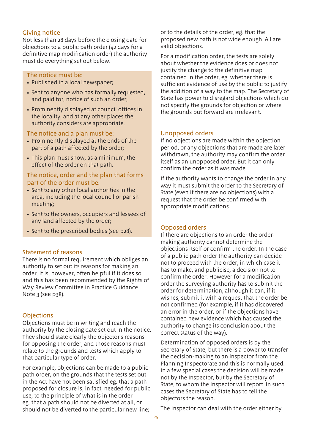#### Giving notice

Not less than 28 days before the closing date for objections to a public path order (42 days for a definitive map modification order) the authority must do everything set out below.

#### The notice must be:

- Published in a local newspaper;
- Sent to anyone who has formally requested, and paid for, notice of such an order;
- Prominently displayed at council offices in the locality, and at any other places the authority considers are appropriate.

#### The notice and a plan must be:

- Prominently displayed at the ends of the part of a path affected by the order;
- This plan must show, as a minimum, the effect of the order on that path.

#### The notice, order and the plan that forms part of the order must be:

- Sent to any other local authorities in the area, including the local council or parish meeting;
- Sent to the owners, occupiers and lessees of any land affected by the order;
- Sent to the prescribed bodies (see p28).

#### Statement of reasons

There is no formal requirement which obliges an authority to set out its reasons for making an order. It is, however, often helpful if it does so and this has been recommended by the Rights of Way Review Committee in Practice Guidance Note 3 (see p38).

#### **Objections**

Objections must be in writing and reach the authority by the closing date set out in the notice. They should state clearly the objector's reasons for opposing the order, and those reasons must relate to the grounds and tests which apply to that particular type of order.

For example, objections can be made to a public path order, on the grounds that the tests set out in the Act have not been satisfied eg. that a path proposed for closure is, in fact, needed for public use; to the principle of what is in the order eg. that a path should not be diverted at all, or should not be diverted to the particular new line;

or to the details of the order, eg. that the proposed new path is not wide enough. All are valid objections.

For a modification order, the tests are solely about whether the evidence does or does not justify the change to the definitive map contained in the order, eg. whether there is sufficient evidence of use by the public to justify the addition of a way to the map. The Secretary of State has power to disregard objections which do not specify the grounds for objection or where the grounds put forward are irrelevant.

#### Unopposed orders

If no objections are made within the objection period, or any objections that are made are later withdrawn, the authority may confirm the order itself as an unopposed order. But it can only confirm the order as it was made.

If the authority wants to change the order in any way it must submit the order to the Secretary of State (even if there are no objections) with a request that the order be confirmed with appropriate modifications.

#### Opposed orders

If there are objections to an order the ordermaking authority cannot determine the objections itself or confirm the order. In the case of a public path order the authority can decide not to proceed with the order, in which case it has to make, and publicise, a decision not to confirm the order. However for a modification order the surveying authority has to submit the order for determination, although it can, if it wishes, submit it with a request that the order be not confirmed (for example, if it has discovered an error in the order, or if the objections have contained new evidence which has caused the authority to change its conclusion about the correct status of the way).

Determination of opposed orders is by the Secretary of State, but there is a power to transfer the decision-making to an inspector from the Planning Inspectorate and this is normally used. In a few special cases the decision will be made not by the Inspector, but by the Secretary of State, to whom the Inspector will report. In such cases the Secretary of State has to tell the objectors the reason.

The Inspector can deal with the order either by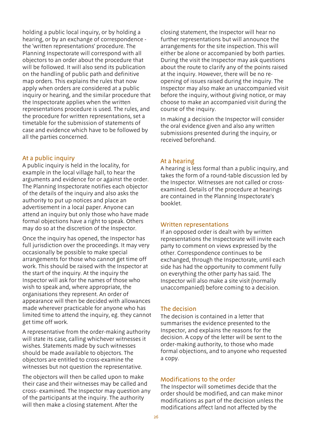holding a public local inquiry, or by holding a hearing, or by an exchange of correspondence the 'written representations' procedure. The Planning Inspectorate will correspond with all objectors to an order about the procedure that will be followed. It will also send its publication on the handling of public path and definitive map orders. This explains the rules that now apply when orders are considered at a public inquiry or hearing, and the similar procedure that the Inspectorate applies when the written representations procedure is used. The rules, and the procedure for written representations, set a timetable for the submission of statements of case and evidence which have to be followed by all the parties concerned.

#### At a public inquiry

A public inquiry is held in the locality, for example in the local village hall, to hear the arguments and evidence for or against the order. The Planning Inspectorate notifies each objector of the details of the inquiry and also asks the authority to put up notices and place an advertisement in a local paper. Anyone can attend an inquiry but only those who have made formal objections have a right to speak. Others may do so at the discretion of the Inspector.

Once the inquiry has opened, the Inspector has full jurisdiction over the proceedings. It may very occasionally be possible to make special arrangements for those who cannot get time off work. This should be raised with the Inspector at the start of the inquiry. At the inquiry the Inspector will ask for the names of those who wish to speak and, where appropriate, the organisations they represent. An order of appearance will then be decided with allowances made wherever practicable for anyone who has limited time to attend the inquiry, eg. they cannot get time off work.

A representative from the order-making authority will state its case, calling whichever witnesses it wishes. Statements made by such witnesses should be made available to objectors. The objectors are entitled to cross-examine the witnesses but not question the representative.

The objectors will then be called upon to make their case and their witnesses may be called and cross- examined. The Inspector may question any of the participants at the inquiry. The authority will then make a closing statement. After the

closing statement, the Inspector will hear no further representations but will announce the arrangements for the site inspection. This will either be alone or accompanied by both parties. During the visit the Inspector may ask questions about the route to clarify any of the points raised at the inquiry. However, there will be no reopening of issues raised during the inquiry. The Inspector may also make an unaccompanied visit before the inquiry, without giving notice, or may choose to make an accompanied visit during the course of the inquiry.

In making a decision the Inspector will consider the oral evidence given and also any written submissions presented during the inquiry, or received beforehand.

#### At a hearing

A hearing is less formal than a public inquiry, and takes the form of a round-table discussion led by the Inspector. Witnesses are not called or crossexamined. Details of the procedure at hearings are contained in the Planning Inspectorate's booklet.

#### Written representations

If an opposed order is dealt with by written representations the Inspectorate will invite each party to comment on views expressed by the other. Correspondence continues to be exchanged, through the Inspectorate, until each side has had the opportunity to comment fully on everything the other party has said. The Inspector will also make a site visit (normally unaccompanied) before coming to a decision.

#### The decision

The decision is contained in a letter that summarises the evidence presented to the Inspector, and explains the reasons for the decision. A copy of the letter will be sent to the order-making authority, to those who made formal objections, and to anyone who requested a copy.

#### Modifications to the order

The Inspector will sometimes decide that the order should be modified, and can make minor modifications as part of the decision unless the modifications affect land not affected by the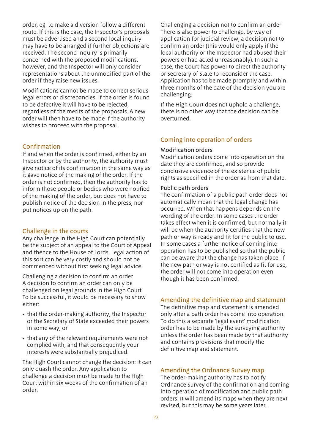order, eg. to make a diversion follow a different route. If this is the case, the Inspector's proposals must be advertised and a second local inquiry may have to be arranged if further objections are received. The second inquiry is primarily concerned with the proposed modifications, however, and the Inspector will only consider representations about the unmodified part of the order if they raise new issues.

Modifications cannot be made to correct serious legal errors or discrepancies. If the order is found to be defective it will have to be rejected, regardless of the merits of the proposals. A new order will then have to be made if the authority wishes to proceed with the proposal.

#### Confirmation

If and when the order is confirmed, either by an Inspector or by the authority, the authority must give notice of its confirmation in the same way as it gave notice of the making of the order. If the order is not confirmed, then the authority has to inform those people or bodies who were notified of the making of the order, but does not have to publish notice of the decision in the press, nor put notices up on the path.

#### Challenge in the courts

Any challenge in the High Court can potentially be the subject of an appeal to the Court of Appeal and thence to the House of Lords. Legal action of this sort can be very costly and should not be commenced without first seeking legal advice.

Challenging a decision to confirm an order A decision to confirm an order can only be challenged on legal grounds in the High Court. To be successful, it would be necessary to show either:

- that the order-making authority, the Inspector or the Secretary of State exceeded their powers in some way; or
- that any of the relevant requirements were not complied with, and that consequently your interests were substantially prejudiced.

The High Court cannot change the decision: it can only quash the order. Any application to challenge a decision must be made to the High Court within six weeks of the confirmation of an order.

Challenging a decision not to confirm an order There is also power to challenge, by way of application for judicial review, a decision not to confirm an order (this would only apply if the local authority or the Inspector had abused their powers or had acted unreasonably). In such a case, the Court has power to direct the authority or Secretary of State to reconsider the case. Application has to be made promptly and within three months of the date of the decision you are challenging.

If the High Court does not uphold a challenge, there is no other way that the decision can be overturned.

#### Coming into operation of orders

#### Modification orders

Modification orders come into operation on the date they are confirmed, and so provide conclusive evidence of the existence of public rights as specified in the order as from that date.

#### Public path orders

The confirmation of a public path order does not automatically mean that the legal change has occurred. When that happens depends on the wording of the order. In some cases the order takes effect when it is confirmed, but normally it will be when the authority certifies that the new path or way is ready and fit for the public to use. In some cases a further notice of coming into operation has to be published so that the public can be aware that the change has taken place. If the new path or way is not certified as fit for use, the order will not come into operation even though it has been confirmed.

#### Amending the definitive map and statement

The definitive map and statement is amended only after a path order has come into operation. To do this a separate 'legal event' modification order has to be made by the surveying authority unless the order has been made by that authority and contains provisions that modify the definitive map and statement.

#### Amending the Ordnance Survey map

The order-making authority has to notify Ordnance Survey of the confirmation and coming into operation of modification and public path orders. It will amend its maps when they are next revised, but this may be some years later.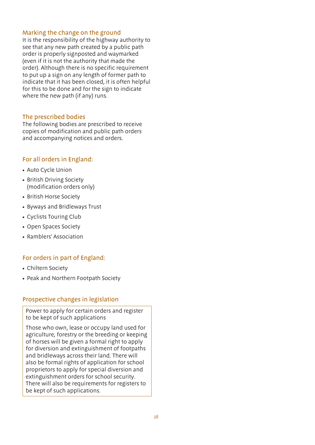#### Marking the change on the ground

It is the responsibility of the highway authority to see that any new path created by a public path order is properly signposted and waymarked (even if it is not the authority that made the order). Although there is no specific requirement to put up a sign on any length of former path to indicate that it has been closed, it is often helpful for this to be done and for the sign to indicate where the new path (if any) runs.

#### The prescribed bodies

The following bodies are prescribed to receive copies of modification and public path orders and accompanying notices and orders.

#### For all orders in England:

- Auto Cycle Union
- British Driving Society (modification orders only)
- British Horse Society
- Byways and Bridleways Trust
- Cyclists Touring Club
- Open Spaces Society
- Ramblers' Association

#### For orders in part of England:

- Chiltern Society
- Peak and Northern Footpath Society

#### Prospective changes in legislation

Power to apply for certain orders and register to be kept of such applications

Those who own, lease or occupy land used for agriculture, forestry or the breeding or keeping of horses will be given a formal right to apply for diversion and extinguishment of footpaths and bridleways across their land. There will also be formal rights of application for school proprietors to apply for special diversion and extinguishment orders for school security. There will also be requirements for registers to be kept of such applications.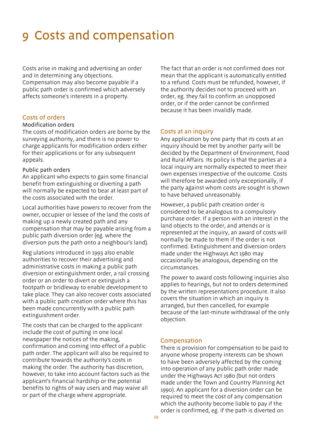### 9 Costs and compensation

Costs arise in making and advertising an order and in determining any objections. Compensation may also become payable if a public path order is confirmed which adversely affects someone's interests in a property.

#### Costs of orders

#### Modification orders

The costs of modification orders are borne by the surveying authority, and there is no power to charge applicants for modification orders either for their applications or for any subsequent appeals.

#### Public path orders

An applicant who expects to gain some financial benefit from extinguishing or diverting a path will normally be expected to bear at least part of the costs associated with the order.

Local authorities have powers to recover from the owner, occupier or lessee of the land the costs of making up a newly created path and any compensation that may be payable arising from a public path diversion order (eg. where the diversion puts the path onto a neighbour's land).

Reg ulations introduced in 1993 also enable authorities to recover their advertising and administrative costs in making a public path diversion or extinguishment order, a rail crossing order or an order to divert or extinguish a footpath or bridleway to enable development to take place. They can also recover costs associated with a public path creation order where this has been made concurrently with a public path extinguishment order.

The costs that can be charged to the applicant include the cost of putting in one local newspaper the notices of the making, confirmation and coming into effect of a public path order. The applicant will also be required to contribute towards the authority's costs in making the order. The authority has discretion, however, to take into account factors such as the applicant's financial hardship or the potential benefits to rights of way users and may waive all or part of the charge where appropriate.

The fact that an order is not confirmed does not mean that the applicant is automatically entitled to a refund. Costs must be refunded, however, if the authority decides not to proceed with an order, eg. they fail to confirm an unopposed order, or if the order cannot be confirmed because it has been invalidly made.

#### Costs at an inquiry

Any application by one party that its costs at an inquiry should be met by another party will be decided by the Department of Environment, Food and Rural Affairs. Its policy is that the parties at a local inquiry are normally expected to meet their own expenses irrespective of the outcome. Costs will therefore be awarded only exceptionally, if the party against whom costs are sought is shown to have behaved unreasonably.

However, a public path creation order is considered to be analogous to a compulsory purchase order. If a person with an interest in the land objects to the order, and attends or is represented at the inquiry, an award of costs will normally be made to them if the order is not confirmed. Extinguishment and diversion orders made under the Highways Act 1980 may occasionally be analogous, depending on the circumstances.

The power to award costs following inquiries also applies to hearings, but not to orders determined by the written representations procedure. It also covers the situation in which an inquiry is arranged, but then cancelled, for example because of the last-minute withdrawal of the only objection.

#### Compensation

There is provision for compensation to be paid to anyone whose property interests can be shown to have been adversely affected by the coming into operation of any public path order made under the Highways Act 1980 (but not orders made under the Town and Country Planning Act 1990). An applicant for a diversion order can be required to meet the cost of any compensation which the authority become liable to pay if the order is confirmed, eg. if the path is diverted on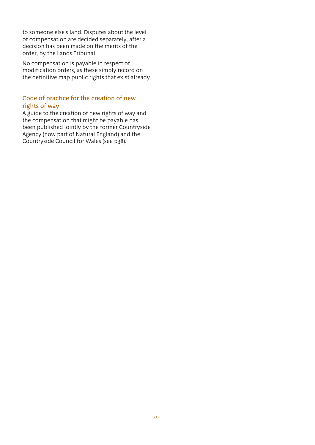to someone else's land. Disputes about the level of compensation are decided separately, after a decision has been made on the merits of the order, by the Lands Tribunal.

No compensation is payable in respect of modification orders, as these simply record on the definitive map public rights that exist already.

#### Code of practice for the creation of new rights of way

A guide to the creation of new rights of way and the compensation that might be payable has been published jointly by the former Countryside Agency (now part of Natural England) and the Countryside Council for Wales (see p38).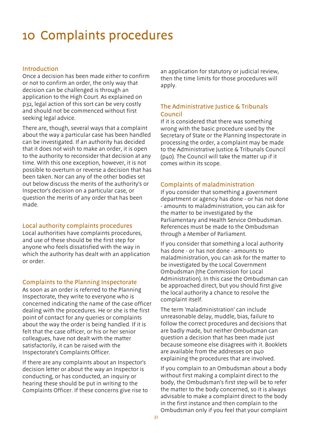### 10 Complaints procedures

#### Introduction

Once a decision has been made either to confirm or not to confirm an order, the only way that decision can be challenged is through an application to the High Court. As explained on p32, legal action of this sort can be very costly and should not be commenced without first seeking legal advice.

There are, though, several ways that a complaint about the way a particular case has been handled can be investigated. If an authority has decided that it does not wish to make an order, it is open to the authority to reconsider that decision at any time. With this one exception, however, it is not possible to overturn or reverse a decision that has been taken. Nor can any of the other bodies set out below discuss the merits of the authority's or Inspector's decision on a particular case, or question the merits of any order that has been made.

#### Local authority complaints procedures

Local authorities have complaints procedures, and use of these should be the first step for anyone who feels dissatisfied with the way in which the authority has dealt with an application or order.

#### Complaints to the Planning Inspectorate

As soon as an order is referred to the Planning Inspectorate, they write to everyone who is concerned indicating the name of the case officer dealing with the procedures. He or she is the first point of contact for any queries or complaints about the way the order is being handled. If it is felt that the case officer, or his or her senior colleagues, have not dealt with the matter satisfactorily, it can be raised with the Inspectorate's Complaints Officer.

If there are any complaints about an Inspector's decision letter or about the way an Inspector is conducting, or has conducted, an inquiry or hearing these should be put in writing to the Complaints Officer. If these concerns give rise to an application for statutory or judicial review, then the time limits for those procedures will apply.

#### The Administrative Justice & Tribunals Council

If it is considered that there was something wrong with the basic procedure used by the Secretary of State or the Planning Inspectorate in processing the order, a complaint may be made to the Administrative Justice & Tribunals Council (p40). The Council will take the matter up if it comes within its scope.

#### Complaints of maladministration

If you consider that something a government department or agency has done - or has not done - amounts to maladministration, you can ask for the matter to be investigated by the Parliamentary and Health Service Ombudsman. References must be made to the Ombudsman through a Member of Parliament.

If you consider that something a local authority has done - or has not done - amounts to maladministration, you can ask for the matter to be investigated by the Local Government Ombudsman (the Commission for Local Administration). In this case the Ombudsman can be approached direct, but you should first give the local authority a chance to resolve the complaint itself.

The term 'maladministration' can include unreasonable delay, muddle, bias, failure to follow the correct procedures and decisions that are badly made, but neither Ombudsman can question a decision that has been made just because someone else disagrees with it. Booklets are available from the addresses on p40 explaining the procedures that are involved.

If you complain to an Ombudsman about a body without first making a complaint direct to the body, the Ombudsman's first step will be to refer the matter to the body concerned, so it is always advisable to make a complaint direct to the body in the first instance and then complain to the Ombudsman only if you feel that your complaint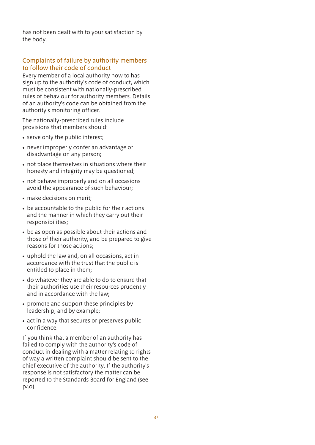has not been dealt with to your satisfaction by the body.

#### Complaints of failure by authority members to follow their code of conduct

Every member of a local authority now to has sign up to the authority's code of conduct, which must be consistent with nationally-prescribed rules of behaviour for authority members. Details of an authority's code can be obtained from the authority's monitoring officer.

The nationally-prescribed rules include provisions that members should:

- serve only the public interest;
- never improperly confer an advantage or disadvantage on any person;
- not place themselves in situations where their honesty and integrity may be questioned;
- not behave improperly and on all occasions avoid the appearance of such behaviour;
- make decisions on merit;
- be accountable to the public for their actions and the manner in which they carry out their responsibilities;
- be as open as possible about their actions and those of their authority, and be prepared to give reasons for those actions;
- uphold the law and, on all occasions, act in accordance with the trust that the public is entitled to place in them;
- do whatever they are able to do to ensure that their authorities use their resources prudently and in accordance with the law;
- promote and support these principles by leadership, and by example;
- act in a way that secures or preserves public confidence.

If you think that a member of an authority has failed to comply with the authority's code of conduct in dealing with a matter relating to rights of way a written complaint should be sent to the chief executive of the authority. If the authority's response is not satisfactory the matter can be reported to the Standards Board for England (see p40).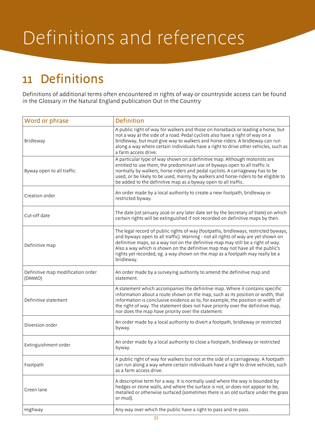# Definitions and references

### 11 Definitions

Definitions of additional terms often encountered in rights of way or countryside access can be found in the Glossary in the Natural England publication Out in the Country

| Word or phrase                              | <b>Definition</b>                                                                                                                                                                                                                                                                                                                                                                                                                            |
|---------------------------------------------|----------------------------------------------------------------------------------------------------------------------------------------------------------------------------------------------------------------------------------------------------------------------------------------------------------------------------------------------------------------------------------------------------------------------------------------------|
| Bridleway                                   | A public right of way for walkers and those on horseback or leading a horse, but<br>not a way at the side of a road. Pedal cyclists also have a right of way on a<br>bridleway, but must give way to walkers and horse-riders. A bridleway can run<br>along a way where certain individuals have a right to drive other vehicles, such as<br>a farm access drive.                                                                            |
| Byway open to all traffic                   | A particular type of way shown on a definitive map. Although motorists are<br>entitled to use them, the predominant use of byways open to all traffic is<br>normally by walkers, horse-riders and pedal cyclists. A carriageway has to be<br>used, or be likely to be used, mainly by walkers and horse-riders to be eligible to<br>be added to the definitive map as a byway open to all traffic.                                           |
| Creation order                              | An order made by a local authority to create a new footpath, bridleway or<br>restricted byway.                                                                                                                                                                                                                                                                                                                                               |
| Cut-off date                                | The date (1st January 2026 or any later date set by the Secretary of State) on which<br>certain rights will be extinguished if not recorded on definitive maps by then.                                                                                                                                                                                                                                                                      |
| Definitive map                              | The legal record of public rights of way (footpaths, bridleways, restricted byways,<br>and byways open to all traffic). Warning - not all rights of way are yet shown on<br>definitive maps, so a way not on the definitive map may still be a right of way.<br>Also a way which is shown on the definitive map may not have all the public's<br>rights yet recorded, eg. a way shown on the map as a footpath may really be a<br>bridleway. |
| Definitive map modification order<br>(DMMO) | An order made by a surveying authority to amend the definitive map and<br>statement.                                                                                                                                                                                                                                                                                                                                                         |
| Definitive statement                        | A statement which accompanies the definitive map. Where it contains specific<br>information about a route shown on the map, such as its position or width, that<br>information is conclusive evidence as to, for example, the position or width of<br>the right of way. The statement does not have priority over the definitive map,<br>nor does the map have priority over the statement.                                                  |
| Diversion order                             | An order made by a local authority to divert a footpath, bridleway or restricted<br>byway.                                                                                                                                                                                                                                                                                                                                                   |
| Extinguishment order                        | An order made by a local authority to close a footpath, bridleway or restricted<br>byway.                                                                                                                                                                                                                                                                                                                                                    |
| Footpath                                    | A public right of way for walkers but not at the side of a carriageway. A footpath<br>can run along a way where certain individuals have a right to drive vehicles, such<br>as a farm access drive.                                                                                                                                                                                                                                          |
| Green lane                                  | A descriptive term for a way. It is normally used where the way is bounded by<br>hedges or stone walls, and where the surface is not, or does not appear to be,<br>metalled or otherwise surfaced (sometimes there is an old surface under the grass<br>or mud).                                                                                                                                                                             |
| Highway                                     | Any way over which the public have a right to pass and re-pass.                                                                                                                                                                                                                                                                                                                                                                              |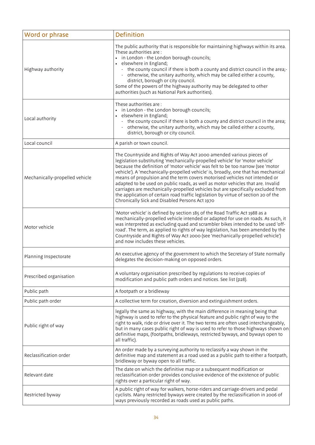| Word or phrase                 | <b>Definition</b>                                                                                                                                                                                                                                                                                                                                                                                                                                                                                                                                                                                                                                                                                                           |
|--------------------------------|-----------------------------------------------------------------------------------------------------------------------------------------------------------------------------------------------------------------------------------------------------------------------------------------------------------------------------------------------------------------------------------------------------------------------------------------------------------------------------------------------------------------------------------------------------------------------------------------------------------------------------------------------------------------------------------------------------------------------------|
| Highway authority              | The public authority that is responsible for maintaining highways within its area.<br>These authorities are:<br>• in London - the London borough councils;<br>· elsewhere in England;<br>- the county council if there is both a county and district council in the area;-<br>otherwise, the unitary authority, which may be called either a county,<br>district, borough or city council.<br>Some of the powers of the highway authority may be delegated to other<br>authorities (such as National Park authorities).                                                                                                                                                                                                     |
| Local authority                | These authorities are:<br>• in London - the London borough councils;<br>· elsewhere in England;<br>- the county council if there is both a county and district council in the area;<br>otherwise, the unitary authority, which may be called either a county,<br>district, borough or city council.                                                                                                                                                                                                                                                                                                                                                                                                                         |
| Local council                  | A parish or town council.                                                                                                                                                                                                                                                                                                                                                                                                                                                                                                                                                                                                                                                                                                   |
| Mechanically-propelled vehicle | The Countryside and Rights of Way Act 2000 amended various pieces of<br>legislation substituting 'mechanically-propelled vehicle' for 'motor vehicle'<br>because the definition of 'motor vehicle' was felt to be too narrow (see 'motor<br>vehicle'). A 'mechanically-propelled vehicle' is, broadly, one that has mechanical<br>means of propulsion and the term covers motorised vehicles not intended or<br>adapted to be used on public roads, as well as motor vehicles that are. Invalid<br>carriages are mechanically-propelled vehicles but are specifically excluded from<br>the application of certain road traffic legislation by virtue of section 20 of the<br>Chronically Sick and Disabled Persons Act 1970 |
| Motor vehicle                  | 'Motor vehicle' is defined by section 185 of the Road Traffic Act 1988 as a<br>mechanically-propelled vehicle intended or adapted for use on roads. As such, it<br>was interpreted as excluding quad and scrambler bikes intended to be used 'off-<br>road'. The term, as applied to rights of way legislation, has been amended by the<br>Countryside and Rights of Way Act 2000 (see 'mechanically-propelled vehicle')<br>and now includes these vehicles.                                                                                                                                                                                                                                                                |
| Planning Inspectorate          | An executive agency of the government to which the Secretary of State normally<br>delegates the decision-making on opposed orders.                                                                                                                                                                                                                                                                                                                                                                                                                                                                                                                                                                                          |
| Prescribed organisation        | A voluntary organisation prescribed by regulations to receive copies of<br>modification and public path orders and notices. See list (p28).                                                                                                                                                                                                                                                                                                                                                                                                                                                                                                                                                                                 |
| Public path                    | A footpath or a bridleway                                                                                                                                                                                                                                                                                                                                                                                                                                                                                                                                                                                                                                                                                                   |
| Public path order              | A collective term for creation, diversion and extinguishment orders.                                                                                                                                                                                                                                                                                                                                                                                                                                                                                                                                                                                                                                                        |
| Public right of way            | legally the same as highway, with the main difference in meaning being that<br>highway is used to refer to the physical feature and public right of way to the<br>right to walk, ride or drive over it. The two terms are often used interchangeably,<br>but in many cases public right of way is used to refer to those highways shown on<br>definitive maps, (footpaths, bridleways, restricted byways, and byways open to<br>all traffic).                                                                                                                                                                                                                                                                               |
| Reclassification order         | An order made by a surveying authority to reclassify a way shown in the<br>definitive map and statement as a road used as a public path to either a footpath,<br>bridleway or byway open to all traffic.                                                                                                                                                                                                                                                                                                                                                                                                                                                                                                                    |
| Relevant date                  | The date on which the definitive map or a subsequent modification or<br>reclassification order provides conclusive evidence of the existence of public<br>rights over a particular right of way.                                                                                                                                                                                                                                                                                                                                                                                                                                                                                                                            |
| Restricted byway               | A public right of way for walkers, horse-riders and carriage-drivers and pedal<br>cyclists. Many restricted byways were created by the reclassification in 2006 of<br>ways previously recorded as roads used as public paths.                                                                                                                                                                                                                                                                                                                                                                                                                                                                                               |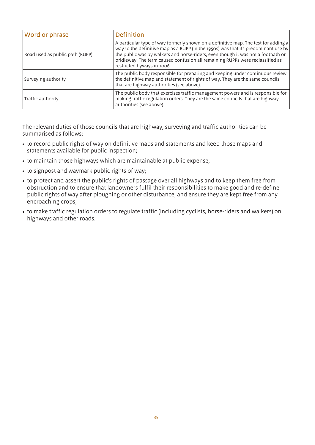| Word or phrase                  | <b>Definition</b>                                                                                                                                                                                                                                                                                                                                                           |
|---------------------------------|-----------------------------------------------------------------------------------------------------------------------------------------------------------------------------------------------------------------------------------------------------------------------------------------------------------------------------------------------------------------------------|
| Road used as public path (RUPP) | A particular type of way formerly shown on a definitive map. The test for adding a<br>way to the definitive map as a RUPP (in the 1950s) was that its predominant use by<br>the public was by walkers and horse-riders, even though it was not a footpath or<br>bridleway. The term caused confusion all remaining RUPPs were reclassified as<br>restricted byways in 2006. |
| Surveying authority             | The public body responsible for preparing and keeping under continuous review<br>the definitive map and statement of rights of way. They are the same councils<br>that are highway authorities (see above).                                                                                                                                                                 |
| Traffic authority               | The public body that exercises traffic management powers and is responsible for<br>making traffic regulation orders. They are the same councils that are highway<br>authorities (see above).                                                                                                                                                                                |

The relevant duties of those councils that are highway, surveying and traffic authorities can be summarised as follows:

- to record public rights of way on definitive maps and statements and keep those maps and statements available for public inspection;
- to maintain those highways which are maintainable at public expense;
- to signpost and waymark public rights of way;
- to protect and assert the public's rights of passage over all highways and to keep them free from obstruction and to ensure that landowners fulfil their responsibilities to make good and re-define public rights of way after ploughing or other disturbance, and ensure they are kept free from any encroaching crops;
- to make traffic regulation orders to regulate traffic (including cyclists, horse-riders and walkers) on highways and other roads.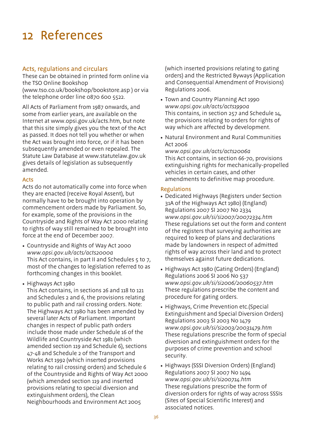### 12 References

#### Acts, regulations and circulars

These can be obtained in printed form online via the TSO Online Bookshop

(www.tso.co.uk/bookshop/bookstore.asp ) or via the telephone order line 0870 600 5522.

All Acts of Parliament from 1987 onwards, and some from earlier years, are available on the Internet at www.opsi.gov.uk/acts.htm, but note that this site simply gives you the text of the Act as passed. It does not tell you whether or when the Act was brought into force, or if it has been subsequently amended or even repealed. The Statute Law Database at www.statutelaw.gov.uk gives details of legislation as subsequently amended.

#### Acts

Acts do not automatically come into force when they are enacted (receive Royal Assent), but normally have to be brought into operation by commencement orders made by Parliament. So, for example, some of the provisions in the Countryside and Rights of Way Act 2000 relating to rights of way still remained to be brought into force at the end of December 2007.

- Countryside and Rights of Way Act 2000 *www.opsi.gov.uk/acts/acts2000a*  This Act contains, in part II and Schedules 5 to 7, most of the changes to legislation referred to as forthcoming changes in this booklet.
- Highways Act 1980

This Act contains, in sections 26 and 118 to 121 and Schedules 2 and 6, the provisions relating to public path and rail crossing orders. Note: The Highways Act 1980 has been amended by several later Acts of Parliament. Important changes in respect of public path orders include those made under Schedule 16 of the Wildlife and Countryside Act 1981 (which amended section 119 and Schedule 6), sections 47-48 and Schedule 2 of the Transport and Works Act 1992 (which inserted provisions relating to rail crossing orders) and Schedule 6 of the Countryside and Rights of Way Act 2000 (which amended section 119 and inserted provisions relating to special diversion and extinguishment orders), the Clean Neighbourhoods and Environment Act 2005

(which inserted provisions relating to gating orders) and the Restricted Byways (Application and Consequential Amendment of Provisions) Regulations 2006.

- Town and Country Planning Act 1990 *www.opsi.gov.uk/acts/acts1990a* This contains, in section 257 and Schedule 14, the provisions relating to orders for rights of way which are affected by development.
- Natural Environment and Rural Communities Act 2006 *www.opsi.gov.uk/acts/acts2006a*  This Act contains, in section 66-70, provisions extinguishing rights for mechanically-propelled vehicles in certain cases, and other amendments to definitive map procedure.

#### Regulations

- Dedicated Highways (Registers under Section 31A of the Highways Act 1980) (England) Regulations 2007 SI 2007 No 2334 *www.opsi.gov.uk/si/si2007/20072334.htm* These regulations set out the form and content of the registers that surveying authorities are required to keep of plans and declarations made by landowners in respect of admitted rights of way across their land and to protect themselves against future dedications.
- Highways Act 1980 (Gating Orders) (England) Regulations 2006 SI 2006 No 537 *www.opsi.gov.uk/si/si2006/20060537.htm*  These regulations prescribe the content and procedure for gating orders.
- Highways, Crime Prevention etc.(Special Extinguishment and Special Diversion Orders) Regulations 2003 SI 2003 No 1479 *www.opsi.gov.uk/si/si2003/20031479.htm*  These regulations prescribe the form of special diversion and extinguishment orders for the purposes of crime prevention and school security.
- Highways (SSSI Diversion Orders) (England) Regulations 2007 SI 2007 No 1494 *www.opsi.gov.uk/si/si200714.htm*  These regulations prescribe the form of diversion orders for rights of way across SSSIs (Sites of Special Scientific Interest) and associated notices.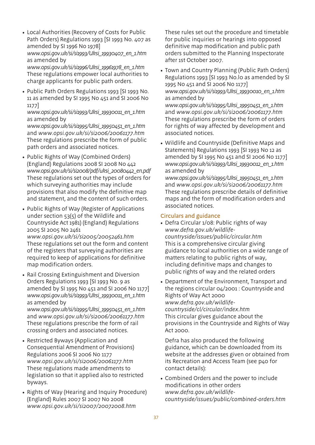• Local Authorities (Recovery of Costs for Public Path Orders) Regulations 1993 [SI 1993 No. 407 as amended by SI 1996 No 1978] *www.opsi.gov.uk/si/si1993/Uksi\_19930407\_en\_1.htm* as amended by *www.opsi.gov.uk/si/si1996/Uksi\_19961978\_en\_1.htm* These regulations empower local authorities to charge applicants for public path orders.

• Public Path Orders Regulations 1993 [SI 1993 No. 11 as amended by SI 1995 No 451 and SI 2006 No 1177]

#### *www.opsi.gov.uk/si/si1993/Uksi\_19930011\_en\_1.htm* as amended by

*www.opsi.gov.uk/si/si1995/Uksi\_19950451\_en\_1.htm* and *www.opsi.gov.uk/si/si2006/20061177.htm* These regulations prescribe the form of public path orders and associated notices.

- Public Rights of Way (Combined Orders) (England) Regulations 2008 SI 2008 No 442 *www.opsi.gov.uk/si/si2008/pdf/uksi\_20080442\_en.pdf* These regulations set out the types of orders for which surveying authorities may include provisions that also modify the definitive map and statement, and the content of such orders.
- Public Rights of Way (Register of Applications under section 53(5) of the Wildlife and Countryside Act 1981) (England) Regulations 2005 SI 2005 No 2461 *www.opsi.gov.uk/si/si2005/20052461.htm*  These regulations set out the form and content of the registers that surveying authorities are required to keep of applications for definitive map modification orders.
- Rail Crossing Extinguishment and Diversion Orders Regulations 1993 [SI 1993 No. 9 as amended by SI 1995 No 451 and SI 2006 No 1177] *www.opsi.gov.uk/si/si1993/Uksi\_19930011\_en\_1.htm* as amended by *www.opsi.gov.uk/si/si1995/Uksi\_19950451\_en\_1.htm*

and *www.opsi.gov.uk/si/si2006/20061177.htm* These regulations prescribe the form of rail crossing orders and associated notices.

- Restricted Byways (Application and Consequential Amendment of Provisions) Regulations 2006 SI 2006 No 1177 *www.opsi.gov.uk/si/si2006/20061177.htm* These regulations made amendments to legislation so that it applied also to restricted byways.
- Rights of Way (Hearing and Inquiry Procedure) (England) Rules 2007 SI 2007 No 2008 *www.opsi.gov.uk/si/si2007/20072008.htm*

These rules set out the procedure and timetable for public inquiries or hearings into opposed definitive map modification and public path orders submitted to the Planning Inspectorate after 1st October 2007.

- Town and Country Planning (Public Path Orders) Regulations 1993 [SI 1993 No.l0 as amended by SI 1995 No 451 and SI 2006 No 1177] *www.opsi.gov.uk/si/si1993/Uksi\_19930010\_en\_1.htm* as amended by *www.opsi.gov.uk/si/si1995/Uksi\_19950451\_en\_1.htm* and *www.opsi.gov.uk/si/si2006/20061177.htm* These regulations prescribe the form of orders for rights of way affected by development and associated notices.
- Wildlife and Countryside (Definitive Maps and Statements) Regulations 1993 [SI 1993 No 12 as amended by SI 1995 No 451 and SI 2006 No 1177] *www.opsi.gov.uk/si/si1993/Uksi\_19930012\_en\_1.htm* as amended by *www.opsi.gov.uk/si/si1995/Uksi\_19950451\_en\_1.htm* and *www.opsi.gov.uk/si/si2006/20061177.htm*

These regulations prescribe details of definitive maps and the form of modification orders and associated notices.

#### Circulars and guidance

- Defra Circular 1/08: Public rights of way *www.defra.gov.uk/wildlifecountryside/issues/public/circular.htm* This is a comprehensive circular giving guidance to local authorities on a wide range of matters relating to public rights of way, including definitive maps and changes to public rights of way and the related orders
- Department of the Environment, Transport and the regions circular 04/2001 : Countryside and Rights of Way Act 2000 *www.defra.gov.uk/wildlifecountryside/cl/circular/index.htm* This circular gives guidance about the provisions in the Countryside and Rights of Way Act 2000.

Defra has also produced the following guidance, which can be downloaded from its website at the addresses given or obtained from its Recreation and Access Team (see p40 for contact details):

• Combined Orders and the power to include modifications in other orders *www.defra.gov.uk/wildlifecountryside/issues/public/combined-orders.htm*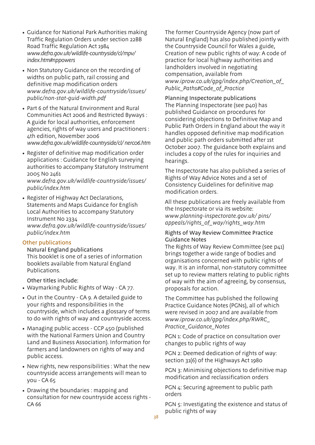- Guidance for National Park Authorities making Traffic Regulation Orders under section 22BB Road Traffic Regulation Act 1984 *www.defra.gov.uk/wildlife-countryside/cl/mpv/ index.htm#nppowers*
- Non Statutory Guidance on the recording of widths on public path, rail crossing and definitive map modification orders *www.defra.gov.uk/wildlife-countryside/issues/ public/non-stat-guid-width.pdf*
- Part 6 of the Natural Environment and Rural Communities Act 2006 and Restricted Byways : A guide for local authorities, enforcement agencies, rights of way users and practitioners : 4th edition, November 2006 *www.defra.gov.uk/wildlife-countryside/cl/ nerc06.htm*
- Register of definitive map modification order applications : Guidance for English surveying authorities to accompany Statutory Instrument 2005 No 2461

*www.defra.gov.uk/wildlife-countryside/issues/ public/index.htm*

• Register of Highway Act Declarations, Statements and Maps Guidance for English Local Authorities to accompany Statutory Instrument No 2334 *www.defra.gov.uk/wildlife-countryside/issues/ public/index.htm*

#### Other publications

Natural England publications This booklet is one of a series of information booklets available from Natural England Publications.

Other titles include:

- Waymarking Public Rights of Way CA 77.
- Out in the Country CA 9. A detailed guide to your rights and responsibilities in the countryside, which includes a glossary of terms to do with rights of way and countryside access.
- Managing public access CCP 450 (published with the National Farmers Union and Country Land and Business Association). Information for farmers and landowners on rights of way and public access.
- New rights, new responsibilities : What the new countryside access arrangements will mean to you - CA 65
- Drawing the boundaries : mapping and consultation for new countryside access rights - CA 66

The former Countryside Agency (now part of Natural England) has also published jointly with the Countryside Council for Wales a guide, Creation of new public rights of way: A code of practice for local highway authorities and landholders involved in negotiating compensation, available from *www.iprow.co.uk/gpg/index.php/Creation\_of\_ Public\_Paths#Code\_of\_Practice*

Planning Inspectorate publications The Planning Inspectorate (see p40) has published Guidance on procedures for considering objections to Definitive Map and Public Path Orders in England about the way it handles opposed definitive map modification and public path orders submitted after 1st October 2007. The guidance both explains and includes a copy of the rules for inquiries and hearings.

The Inspectorate has also published a series of Rights of Way Advice Notes and a set of Consistency Guidelines for definitive map modification orders.

All these publications are freely available from the Inspectorate or via its website: *www.planning-inspectorate.gov.uk/ pins/ appeals/rights\_of\_way/rights\_way.htm*

#### Rights of Way Review Committee Practice Guidance Notes

The Rights of Way Review Committee (see p41) brings together a wide range of bodies and organisations concerned with public rights of way. It is an informal, non-statutory committee set up to review matters relating to public rights of way with the aim of agreeing, by consensus, proposals for action.

The Committee has published the following Practice Guidance Notes (PGNs), all of which were revised in 2007 and are available from *www.iprow.co.uk/gpg/index.php/RWRC\_ Practice\_Guidance\_Notes* 

PGN 1: Code of practice on consultation over changes to public rights of way

PGN 2: Deemed dedication of rights of way: section 31(6) of the Highways Act 1980

PGN 3: Minimising objections to definitive map modification and reclassification orders

PGN 4: Securing agreement to public path orders

PGN 5: Investigating the existence and status of public rights of way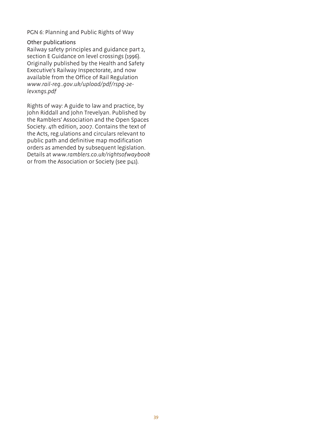PGN 6: Planning and Public Rights of Way

#### Other publications

Railway safety principles and guidance part 2, section E Guidance on level crossings (1996). Originally published by the Health and Safety Executive's Railway Inspectorate, and now available from the Office of Rail Regulation *www.rail-reg..gov.uk/upload/pdf/rspg-2elevxngs.pdf*

Rights of way: A guide to law and practice, by John Riddall and John Trevelyan. Published by the Ramblers' Association and the Open Spaces Society. 4th edition, 2007. Contains the text of the Acts, reg.ulations and circulars relevant to public path and definitive map modification orders as amended by subsequent legislation. Details at *www.ramblers.co.uk/rightsofwaybook* or from the Association or Society (see p41).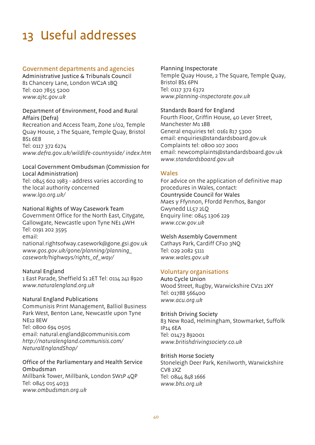## 13 Useful addresses

#### Government departments and agencies

Administrative Justice & Tribunals Council 81 Chancery Lane, London WC2A 1BQ Tel: 020 7855 5200 *www.ajtc.gov.uk*

#### Department of Environment, Food and Rural Affairs (Defra)

Recreation and Access Team, Zone 1/02, Temple Quay House, 2 The Square, Temple Quay, Bristol BS1 6EB Tel: 0117 372 6274 *www.defra.gov.uk/wildlife-countryside/ index.htm*

#### Local Government Ombudsman (Commission for Local Administration)

Tel: 0845 602 1983 - address varies according to the local authority concerned *www.lgo.org.uk/*

#### National Rights of Way Casework Team

Government Office for the North East, Citygate, Gallowgate, Newcastle upon Tyne NE1 4WH Tel: 0191 202 3595 email:

national.rightsofway.casework@gone.gsi.gov.uk *www.gos.gov.uk/gone/planning/planning\_ casework/highways/rights\_of\_way/*

#### Natural England

1 East Parade, Sheffield S1 2ET Tel: 0114 241 8920 *www.naturalengland.org.uk*

#### Natural England Publications

Communisis Print Management, Balliol Business Park West, Benton Lane, Newcastle upon Tyne NE12 8EW Tel: 0800 694 0505 email: natural.england@communisis.com *http://naturalengland.communisis.com/ NaturalEnglandShop/*

#### Office of the Parliamentary and Health Service Ombudsman

Millbank Tower, Millbank, London SW1P 4QP Tel: 0845 015 4033 *www.ombudsman.org.uk* 

#### Planning Inspectorate

Temple Quay House, 2 The Square, Temple Quay, Bristol BS1 6PN Tel: 0117 372 6372 *www.planning-inspectorate.gov.uk*

#### Standards Board for England

Fourth Floor, Griffin House, 40 Lever Street, Manchester M1 1BB General enquiries tel: 0161 817 5300 email: enquiries@standardsboard.gov.uk Complaints tel: 0800 107 2001 email: newcomplaints@standardsboard.gov.uk *www.standardsboard.gov.uk*

#### Wales

For advice on the application of definitive map procedures in Wales, contact: Countryside Council for Wales Maes y Ffynnon, Ffordd Penrhos, Bangor Gwynedd LL57 2LQ Enquiry line: 0845 1306 229 *www.ccw.gov.uk*

#### Welsh Assembly Government

Cathays Park, Cardiff CF10 3NQ Tel: 029 2082 5111 *www.wales.gov.uk*

#### Voluntary organisations

Auto Cycle Union Wood Street, Rugby, Warwickshire CV21 2XY Tel: 01788 566400 *www.acu.org.uk*

#### British Driving Society

83 New Road, Helmingham, Stowmarket, Suffolk IP14 6EA Tel: 01473 892001 *www.britishdrivingsociety.co.uk*

#### British Horse Society

Stoneleigh Deer Park, Kenilworth, Warwickshire CV8 2XZ Tel: 0844 848 1666 *www.bhs.org.uk*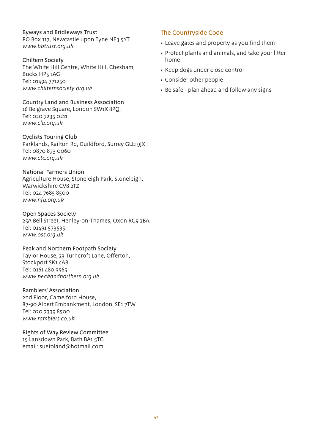#### Byways and Bridleways Trust PO Box 117, Newcastle upon Tyne NE3 5YT *www.bbtrust.org.uk*

Chiltern Society The White Hill Centre, White Hill, Chesham, Bucks HP5 1AG Tel: 01494 771250 *www.chilternsociety.org.uk*

Country Land and Business Association 16 Belgrave Square, London SW1X 8PQ. Tel: 020 7235 0211 *www.cla.org.uk*

#### Cyclists Touring Club Parklands, Railton Rd, Guildford, Surrey GU2 9JX Tel: 0870 873 0060 *www.ctc.org.uk*

National Farmers Union Agriculture House, Stoneleigh Park, Stoneleigh, Warwickshire CV8 2TZ Tel: 024 7685 8500 *www.nfu.org.uk*

Open Spaces Society 25A Bell Street, Henley-on-Thames, Oxon RG9 2BA. Tel: 01491 573535 *www.oss.org.uk*

Peak and Northern Footpath Society Taylor House, 23 Turncroft Lane, Offerton, Stockport SK1 4AB Tel: 0161 480 3565 *www.peakandnorthern.org.uk*

Ramblers' Association 2nd Floor, Camelford House, 87-90 Albert Embankment, London SE1 7TW Tel: 020 7339 8500 *www.ramblers.co.uk*

Rights of Way Review Committee 15 Lansdown Park, Bath BA1 5TG email: suetoland@hotmail.com

#### The Countryside Code

- Leave gates and property as you find them
- Protect plants and animals, and take your litter home
- Keep dogs under close control
- Consider other people
- Be safe plan ahead and follow any signs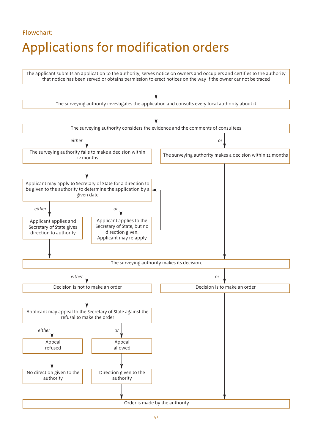### Flowchart: Applications for modification orders

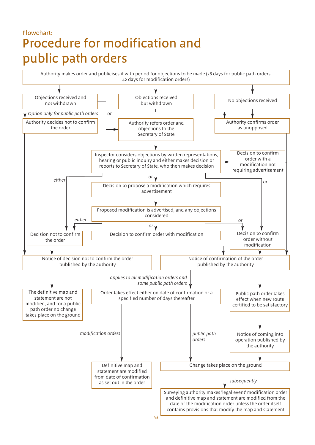### Flowchart: Procedure for modification and public path orders